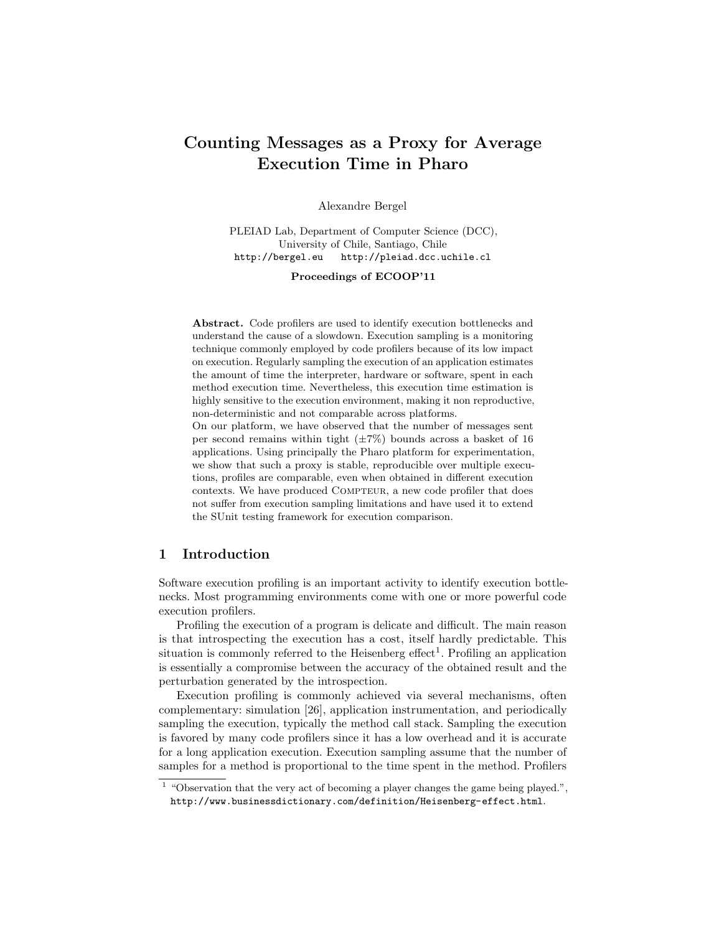# Counting Messages as a Proxy for Average Execution Time in Pharo

Alexandre Bergel

PLEIAD Lab, Department of Computer Science (DCC), University of Chile, Santiago, Chile <http://bergel.eu> <http://pleiad.dcc.uchile.cl>

Proceedings of ECOOP'11

Abstract. Code profilers are used to identify execution bottlenecks and understand the cause of a slowdown. Execution sampling is a monitoring technique commonly employed by code profilers because of its low impact on execution. Regularly sampling the execution of an application estimates the amount of time the interpreter, hardware or software, spent in each method execution time. Nevertheless, this execution time estimation is highly sensitive to the execution environment, making it non reproductive, non-deterministic and not comparable across platforms.

On our platform, we have observed that the number of messages sent per second remains within tight  $(\pm 7\%)$  bounds across a basket of 16 applications. Using principally the Pharo platform for experimentation, we show that such a proxy is stable, reproducible over multiple executions, profiles are comparable, even when obtained in different execution contexts. We have produced COMPTEUR, a new code profiler that does not suffer from execution sampling limitations and have used it to extend the SUnit testing framework for execution comparison.

## 1 Introduction

Software execution profiling is an important activity to identify execution bottlenecks. Most programming environments come with one or more powerful code execution profilers.

Profiling the execution of a program is delicate and difficult. The main reason is that introspecting the execution has a cost, itself hardly predictable. This situation is commonly referred to the Heisenberg effect<sup>[1](#page-0-0)</sup>. Profiling an application is essentially a compromise between the accuracy of the obtained result and the perturbation generated by the introspection.

Execution profiling is commonly achieved via several mechanisms, often complementary: simulation [\[26\]](#page-22-0), application instrumentation, and periodically sampling the execution, typically the method call stack. Sampling the execution is favored by many code profilers since it has a low overhead and it is accurate for a long application execution. Execution sampling assume that the number of samples for a method is proportional to the time spent in the method. Profilers

<span id="page-0-0"></span><sup>&</sup>lt;sup>1</sup> "Observation that the very act of becoming a player changes the game being played.", <http://www.businessdictionary.com/definition/Heisenberg-effect.html>.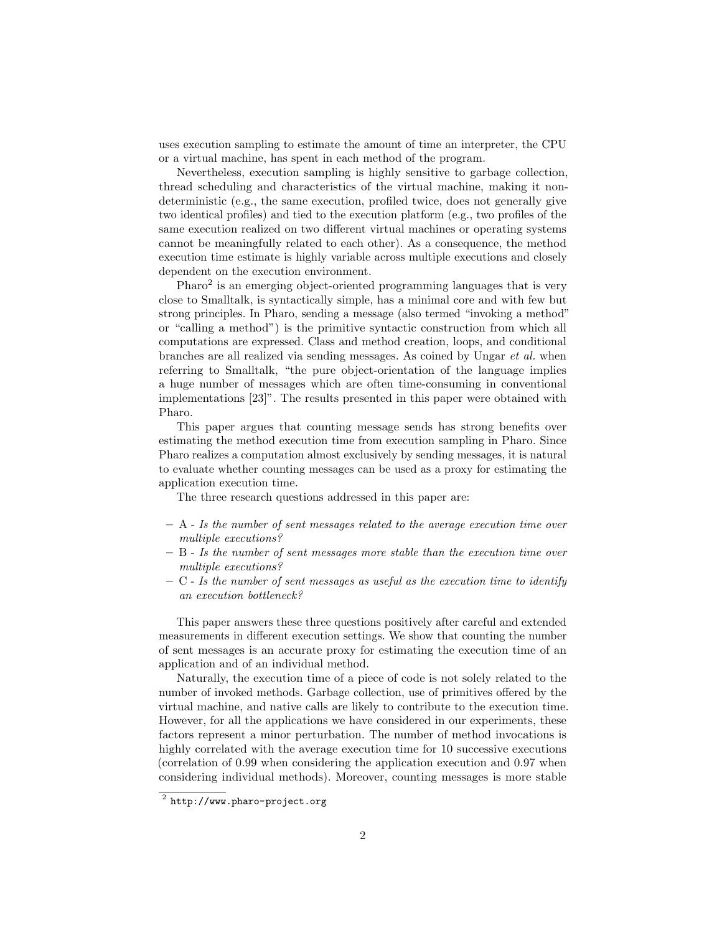uses execution sampling to estimate the amount of time an interpreter, the CPU or a virtual machine, has spent in each method of the program.

Nevertheless, execution sampling is highly sensitive to garbage collection, thread scheduling and characteristics of the virtual machine, making it nondeterministic (e.g., the same execution, profiled twice, does not generally give two identical profiles) and tied to the execution platform (e.g., two profiles of the same execution realized on two different virtual machines or operating systems cannot be meaningfully related to each other). As a consequence, the method execution time estimate is highly variable across multiple executions and closely dependent on the execution environment.

Pharo<sup>[2](#page-1-0)</sup> is an emerging object-oriented programming languages that is very close to Smalltalk, is syntactically simple, has a minimal core and with few but strong principles. In Pharo, sending a message (also termed "invoking a method" or "calling a method") is the primitive syntactic construction from which all computations are expressed. Class and method creation, loops, and conditional branches are all realized via sending messages. As coined by Ungar et al. when referring to Smalltalk, "the pure object-orientation of the language implies a huge number of messages which are often time-consuming in conventional implementations [\[23\]](#page-22-1)". The results presented in this paper were obtained with Pharo.

This paper argues that counting message sends has strong benefits over estimating the method execution time from execution sampling in Pharo. Since Pharo realizes a computation almost exclusively by sending messages, it is natural to evaluate whether counting messages can be used as a proxy for estimating the application execution time.

The three research questions addressed in this paper are:

- A Is the number of sent messages related to the average execution time over multiple executions?
- B Is the number of sent messages more stable than the execution time over multiple executions?
- $-$  C Is the number of sent messages as useful as the execution time to identify an execution bottleneck?

This paper answers these three questions positively after careful and extended measurements in different execution settings. We show that counting the number of sent messages is an accurate proxy for estimating the execution time of an application and of an individual method.

Naturally, the execution time of a piece of code is not solely related to the number of invoked methods. Garbage collection, use of primitives offered by the virtual machine, and native calls are likely to contribute to the execution time. However, for all the applications we have considered in our experiments, these factors represent a minor perturbation. The number of method invocations is highly correlated with the average execution time for 10 successive executions (correlation of 0.99 when considering the application execution and 0.97 when considering individual methods). Moreover, counting messages is more stable

<span id="page-1-0"></span> $^2$  <http://www.pharo-project.org>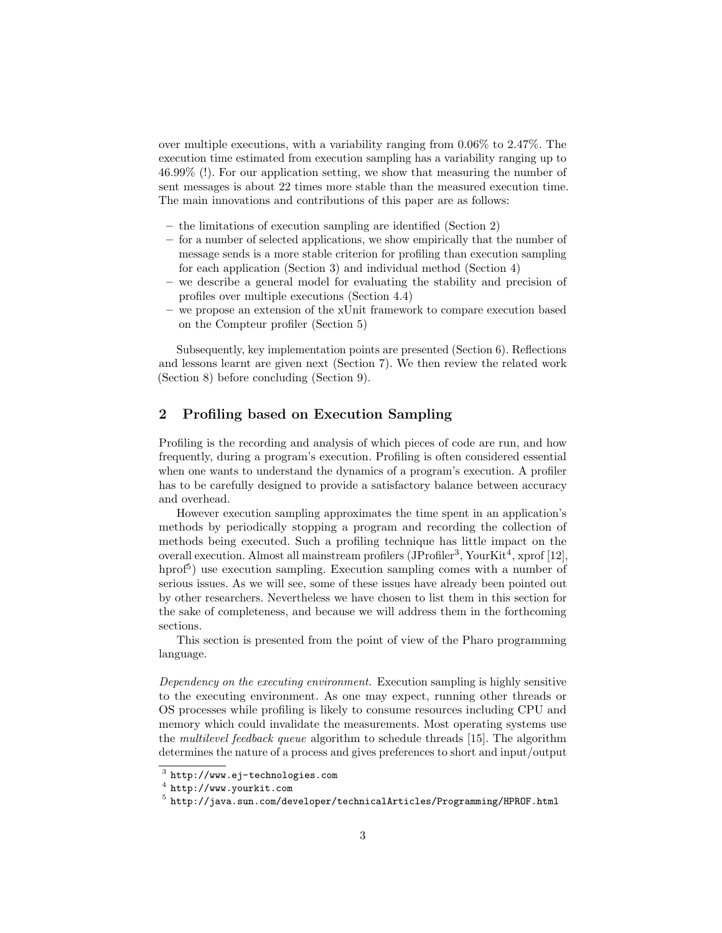over multiple executions, with a variability ranging from 0.06% to 2.47%. The execution time estimated from execution sampling has a variability ranging up to 46.99% (!). For our application setting, we show that measuring the number of sent messages is about 22 times more stable than the measured execution time. The main innovations and contributions of this paper are as follows:

- the limitations of execution sampling are identified (Section [2\)](#page-2-0)
- for a number of selected applications, we show empirically that the number of message sends is a more stable criterion for profiling than execution sampling for each application (Section [3\)](#page-4-0) and individual method (Section [4\)](#page-10-0)
- we describe a general model for evaluating the stability and precision of profiles over multiple executions (Section [4.4\)](#page-12-0)
- we propose an extension of the xUnit framework to compare execution based on the Compteur profiler (Section [5\)](#page-15-0)

Subsequently, key implementation points are presented (Section [6\)](#page-16-0). Reflections and lessons learnt are given next (Section [7\)](#page-17-0). We then review the related work (Section [8\)](#page-19-0) before concluding (Section [9\)](#page-20-0).

## <span id="page-2-0"></span>2 Profiling based on Execution Sampling

Profiling is the recording and analysis of which pieces of code are run, and how frequently, during a program's execution. Profiling is often considered essential when one wants to understand the dynamics of a program's execution. A profiler has to be carefully designed to provide a satisfactory balance between accuracy and overhead.

However execution sampling approximates the time spent in an application's methods by periodically stopping a program and recording the collection of methods being executed. Such a profiling technique has little impact on the overall execution. Almost all mainstream profilers (JProfiler<sup>[3](#page-2-1)</sup>, YourKit<sup>[4](#page-2-2)</sup>, xprof [\[12\]](#page-21-0), hprof<sup>[5](#page-2-3)</sup>) use execution sampling. Execution sampling comes with a number of serious issues. As we will see, some of these issues have already been pointed out by other researchers. Nevertheless we have chosen to list them in this section for the sake of completeness, and because we will address them in the forthcoming sections.

This section is presented from the point of view of the Pharo programming language.

Dependency on the executing environment. Execution sampling is highly sensitive to the executing environment. As one may expect, running other threads or OS processes while profiling is likely to consume resources including CPU and memory which could invalidate the measurements. Most operating systems use the multilevel feedback queue algorithm to schedule threads [\[15\]](#page-21-1). The algorithm determines the nature of a process and gives preferences to short and input/output

<span id="page-2-1"></span> $^3$  <http://www.ej-technologies.com>

<span id="page-2-2"></span><sup>4</sup> <http://www.yourkit.com>

<span id="page-2-3"></span> $^5$  <http://java.sun.com/developer/technicalArticles/Programming/HPROF.html>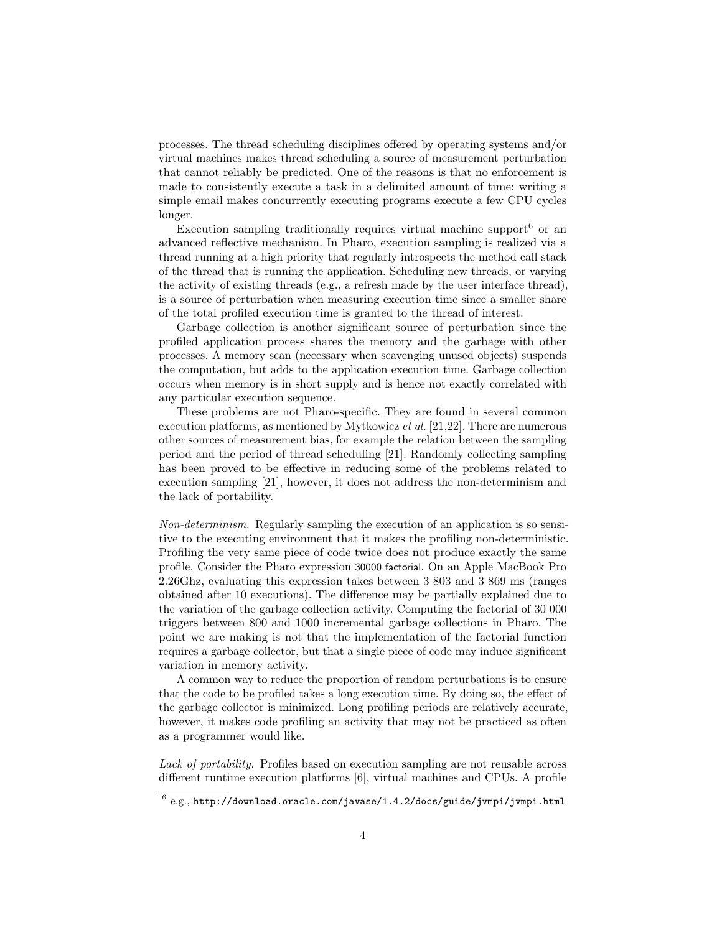processes. The thread scheduling disciplines offered by operating systems and/or virtual machines makes thread scheduling a source of measurement perturbation that cannot reliably be predicted. One of the reasons is that no enforcement is made to consistently execute a task in a delimited amount of time: writing a simple email makes concurrently executing programs execute a few CPU cycles longer.

Execution sampling traditionally requires virtual machine support<sup>[6](#page-3-0)</sup> or an advanced reflective mechanism. In Pharo, execution sampling is realized via a thread running at a high priority that regularly introspects the method call stack of the thread that is running the application. Scheduling new threads, or varying the activity of existing threads (e.g., a refresh made by the user interface thread), is a source of perturbation when measuring execution time since a smaller share of the total profiled execution time is granted to the thread of interest.

Garbage collection is another significant source of perturbation since the profiled application process shares the memory and the garbage with other processes. A memory scan (necessary when scavenging unused objects) suspends the computation, but adds to the application execution time. Garbage collection occurs when memory is in short supply and is hence not exactly correlated with any particular execution sequence.

These problems are not Pharo-specific. They are found in several common execution platforms, as mentioned by Mytkowicz et al. [\[21](#page-22-2)[,22\]](#page-22-3). There are numerous other sources of measurement bias, for example the relation between the sampling period and the period of thread scheduling [\[21\]](#page-22-2). Randomly collecting sampling has been proved to be effective in reducing some of the problems related to execution sampling [\[21\]](#page-22-2), however, it does not address the non-determinism and the lack of portability.

Non-determinism. Regularly sampling the execution of an application is so sensitive to the executing environment that it makes the profiling non-deterministic. Profiling the very same piece of code twice does not produce exactly the same profile. Consider the Pharo expression 30000 factorial. On an Apple MacBook Pro 2.26Ghz, evaluating this expression takes between 3 803 and 3 869 ms (ranges obtained after 10 executions). The difference may be partially explained due to the variation of the garbage collection activity. Computing the factorial of 30 000 triggers between 800 and 1000 incremental garbage collections in Pharo. The point we are making is not that the implementation of the factorial function requires a garbage collector, but that a single piece of code may induce significant variation in memory activity.

A common way to reduce the proportion of random perturbations is to ensure that the code to be profiled takes a long execution time. By doing so, the effect of the garbage collector is minimized. Long profiling periods are relatively accurate, however, it makes code profiling an activity that may not be practiced as often as a programmer would like.

Lack of portability. Profiles based on execution sampling are not reusable across different runtime execution platforms [\[6\]](#page-21-2), virtual machines and CPUs. A profile

<span id="page-3-0"></span> $^6$  e.g., <http://download.oracle.com/javase/1.4.2/docs/guide/jvmpi/jvmpi.html>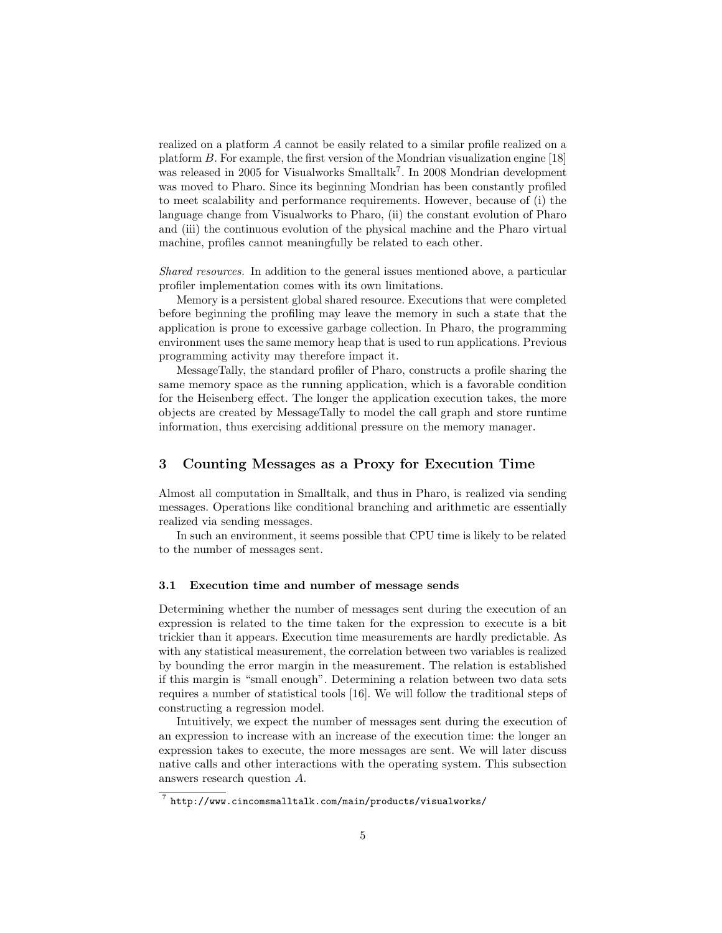realized on a platform A cannot be easily related to a similar profile realized on a platform B. For example, the first version of the Mondrian visualization engine [\[18\]](#page-21-3) was released in 2005 for Visualworks Smalltalk[7](#page-4-1) . In 2008 Mondrian development was moved to Pharo. Since its beginning Mondrian has been constantly profiled to meet scalability and performance requirements. However, because of (i) the language change from Visualworks to Pharo, (ii) the constant evolution of Pharo and (iii) the continuous evolution of the physical machine and the Pharo virtual machine, profiles cannot meaningfully be related to each other.

Shared resources. In addition to the general issues mentioned above, a particular profiler implementation comes with its own limitations.

Memory is a persistent global shared resource. Executions that were completed before beginning the profiling may leave the memory in such a state that the application is prone to excessive garbage collection. In Pharo, the programming environment uses the same memory heap that is used to run applications. Previous programming activity may therefore impact it.

MessageTally, the standard profiler of Pharo, constructs a profile sharing the same memory space as the running application, which is a favorable condition for the Heisenberg effect. The longer the application execution takes, the more objects are created by MessageTally to model the call graph and store runtime information, thus exercising additional pressure on the memory manager.

## <span id="page-4-0"></span>3 Counting Messages as a Proxy for Execution Time

Almost all computation in Smalltalk, and thus in Pharo, is realized via sending messages. Operations like conditional branching and arithmetic are essentially realized via sending messages.

In such an environment, it seems possible that CPU time is likely to be related to the number of messages sent.

#### <span id="page-4-2"></span>3.1 Execution time and number of message sends

Determining whether the number of messages sent during the execution of an expression is related to the time taken for the expression to execute is a bit trickier than it appears. Execution time measurements are hardly predictable. As with any statistical measurement, the correlation between two variables is realized by bounding the error margin in the measurement. The relation is established if this margin is "small enough". Determining a relation between two data sets requires a number of statistical tools [\[16\]](#page-21-4). We will follow the traditional steps of constructing a regression model.

Intuitively, we expect the number of messages sent during the execution of an expression to increase with an increase of the execution time: the longer an expression takes to execute, the more messages are sent. We will later discuss native calls and other interactions with the operating system. This subsection answers research question A.

<span id="page-4-1"></span><sup>7</sup> <http://www.cincomsmalltalk.com/main/products/visualworks/>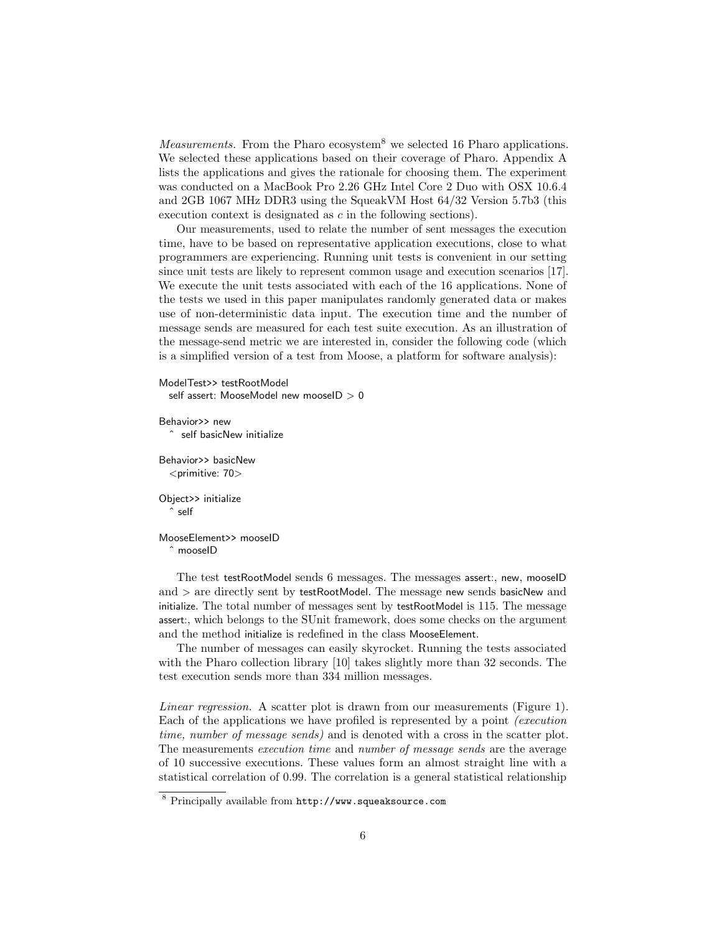*Measurements.* From the Pharo ecosystem<sup>[8](#page-5-0)</sup> we selected 16 Pharo applications. We selected these applications based on their coverage of Pharo. Appendix [A](#page-22-4) lists the applications and gives the rationale for choosing them. The experiment was conducted on a MacBook Pro 2.26 GHz Intel Core 2 Duo with OSX 10.6.4 and 2GB 1067 MHz DDR3 using the SqueakVM Host 64/32 Version 5.7b3 (this execution context is designated as c in the following sections).

Our measurements, used to relate the number of sent messages the execution time, have to be based on representative application executions, close to what programmers are experiencing. Running unit tests is convenient in our setting since unit tests are likely to represent common usage and execution scenarios [\[17\]](#page-21-5). We execute the unit tests associated with each of the 16 applications. None of the tests we used in this paper manipulates randomly generated data or makes use of non-deterministic data input. The execution time and the number of message sends are measured for each test suite execution. As an illustration of the message-send metric we are interested in, consider the following code (which is a simplified version of a test from Moose, a platform for software analysis):

```
ModelTest>> testRootModel
self assert: MooseModel new mooseID > 0
```
Behavior>> new ˆ self basicNew initialize Behavior>> basicNew

<primitive: 70>

Object>> initialize ˆ self

MooseElement>> mooseID ˆ mooseID

The test testRootModel sends 6 messages. The messages assert:, new, mooseID and  $>$  are directly sent by testRootModel. The message new sends basicNew and initialize. The total number of messages sent by testRootModel is 115. The message assert:, which belongs to the SUnit framework, does some checks on the argument and the method initialize is redefined in the class MooseElement.

The number of messages can easily skyrocket. Running the tests associated with the Pharo collection library [\[10\]](#page-21-6) takes slightly more than 32 seconds. The test execution sends more than 334 million messages.

Linear regression. A scatter plot is drawn from our measurements (Figure [1\)](#page-6-0). Each of the applications we have profiled is represented by a point (execution time, number of message sends) and is denoted with a cross in the scatter plot. The measurements *execution time* and *number of message sends* are the average of 10 successive executions. These values form an almost straight line with a statistical correlation of 0.99. The correlation is a general statistical relationship

<span id="page-5-0"></span><sup>8</sup> Principally available from <http://www.squeaksource.com>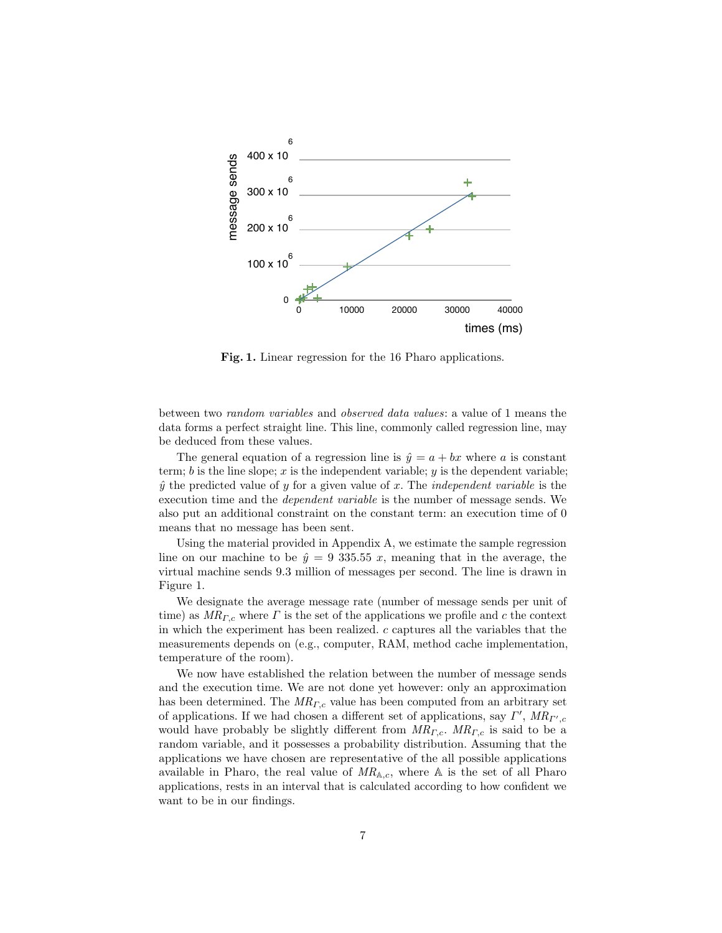<span id="page-6-0"></span>

Fig. 1. Linear regression for the 16 Pharo applications.

between two random variables and observed data values: a value of 1 means the data forms a perfect straight line. This line, commonly called regression line, may be deduced from these values.

The general equation of a regression line is  $\hat{y} = a + bx$  where a is constant term; b is the line slope; x is the independent variable; y is the dependent variable;  $\hat{y}$  the predicted value of y for a given value of x. The *independent variable* is the execution time and the *dependent variable* is the number of message sends. We also put an additional constraint on the constant term: an execution time of 0 means that no message has been sent.

Using the material provided in Appendix [A,](#page-22-4) we estimate the sample regression line on our machine to be  $\hat{y} = 9\,335.55\,x$ , meaning that in the average, the virtual machine sends 9.3 million of messages per second. The line is drawn in Figure [1.](#page-6-0)

We designate the average message rate (number of message sends per unit of time) as  $MR_{\Gamma,c}$  where  $\Gamma$  is the set of the applications we profile and  $c$  the context in which the experiment has been realized.  $c$  captures all the variables that the measurements depends on (e.g., computer, RAM, method cache implementation, temperature of the room).

We now have established the relation between the number of message sends and the execution time. We are not done yet however: only an approximation has been determined. The  $MR_{\Gamma,c}$  value has been computed from an arbitrary set of applications. If we had chosen a different set of applications, say  $\Gamma'$ ,  $MR_{\Gamma',c}$ would have probably be slightly different from  $MR_{\Gamma,c}$ .  $MR_{\Gamma,c}$  is said to be a random variable, and it possesses a probability distribution. Assuming that the applications we have chosen are representative of the all possible applications available in Pharo, the real value of  $MR_{A,c}$ , where A is the set of all Pharo applications, rests in an interval that is calculated according to how confident we want to be in our findings.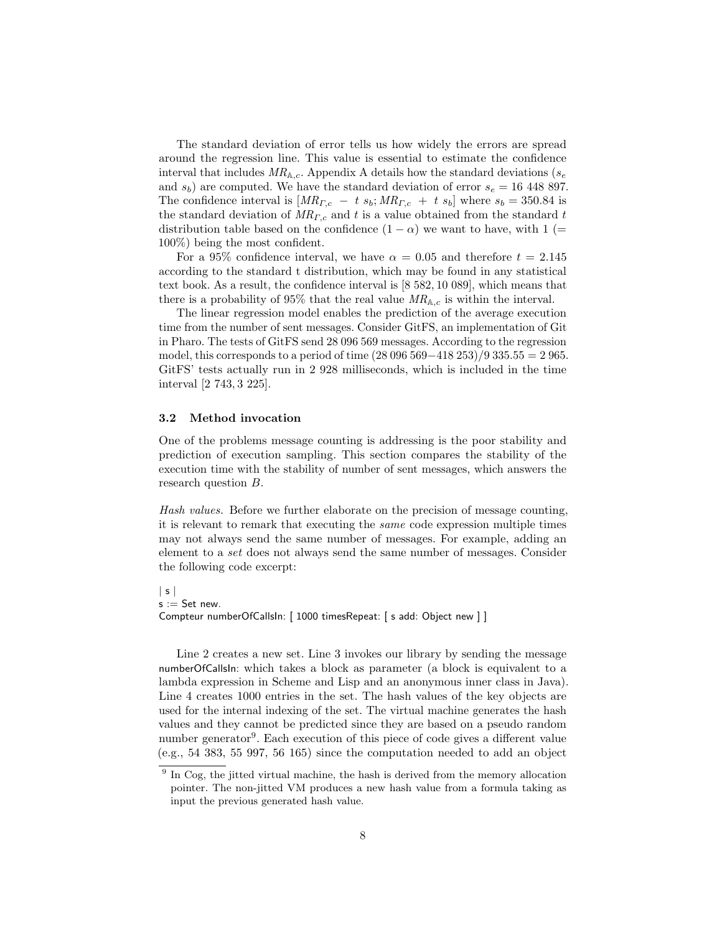The standard deviation of error tells us how widely the errors are spread around the regression line. This value is essential to estimate the confidence interval that includes  $MR_{A,c}$  $MR_{A,c}$  $MR_{A,c}$ . Appendix A details how the standard deviations ( $s_e$ and  $s_b$ ) are computed. We have the standard deviation of error  $s_e = 16\;448\;897$ . The confidence interval is  $[MR_{\Gamma,c} - t s_b; MR_{\Gamma,c} + t s_b]$  where  $s_b = 350.84$  is the standard deviation of  $MR<sub>Γ,c</sub>$  and t is a value obtained from the standard t distribution table based on the confidence  $(1 - \alpha)$  we want to have, with 1 (= 100%) being the most confident.

For a 95% confidence interval, we have  $\alpha = 0.05$  and therefore  $t = 2.145$ according to the standard t distribution, which may be found in any statistical text book. As a result, the confidence interval is [8 582, 10 089], which means that there is a probability of 95% that the real value  $MR_{A,c}$  is within the interval.

The linear regression model enables the prediction of the average execution time from the number of sent messages. Consider GitFS, an implementation of Git in Pharo. The tests of GitFS send 28 096 569 messages. According to the regression model, this corresponds to a period of time  $(28 096 569 - 418 253)/9 335.55 = 2 965.$ GitFS' tests actually run in 2 928 milliseconds, which is included in the time interval [2 743, 3 225].

#### <span id="page-7-1"></span>3.2 Method invocation

One of the problems message counting is addressing is the poor stability and prediction of execution sampling. This section compares the stability of the execution time with the stability of number of sent messages, which answers the research question B.

Hash values. Before we further elaborate on the precision of message counting, it is relevant to remark that executing the same code expression multiple times may not always send the same number of messages. For example, adding an element to a set does not always send the same number of messages. Consider the following code excerpt:

 $|s|$  $s :=$  Set new. Compteur numberOfCallsIn: [ 1000 timesRepeat: [ s add: Object new ] ]

Line 2 creates a new set. Line 3 invokes our library by sending the message numberOfCallsIn: which takes a block as parameter (a block is equivalent to a lambda expression in Scheme and Lisp and an anonymous inner class in Java). Line 4 creates 1000 entries in the set. The hash values of the key objects are used for the internal indexing of the set. The virtual machine generates the hash values and they cannot be predicted since they are based on a pseudo random number generator<sup>[9](#page-7-0)</sup>. Each execution of this piece of code gives a different value (e.g., 54 383, 55 997, 56 165) since the computation needed to add an object

<span id="page-7-0"></span><sup>&</sup>lt;sup>9</sup> In Cog, the jitted virtual machine, the hash is derived from the memory allocation pointer. The non-jitted VM produces a new hash value from a formula taking as input the previous generated hash value.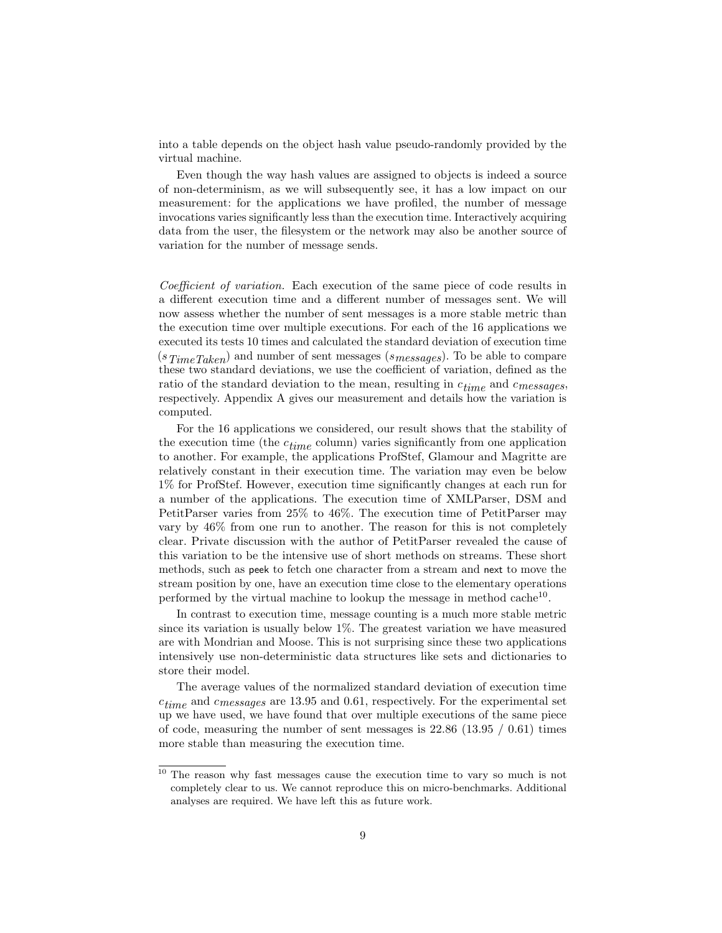into a table depends on the object hash value pseudo-randomly provided by the virtual machine.

Even though the way hash values are assigned to objects is indeed a source of non-determinism, as we will subsequently see, it has a low impact on our measurement: for the applications we have profiled, the number of message invocations varies significantly less than the execution time. Interactively acquiring data from the user, the filesystem or the network may also be another source of variation for the number of message sends.

Coefficient of variation. Each execution of the same piece of code results in a different execution time and a different number of messages sent. We will now assess whether the number of sent messages is a more stable metric than the execution time over multiple executions. For each of the 16 applications we executed its tests 10 times and calculated the standard deviation of execution time  $(s_{TimeTake})$  and number of sent messages ( $s_{messages}$ ). To be able to compare these two standard deviations, we use the coefficient of variation, defined as the ratio of the standard deviation to the mean, resulting in  $c_{time}$  and  $c_{message}$ , respectively. Appendix [A](#page-22-4) gives our measurement and details how the variation is computed.

For the 16 applications we considered, our result shows that the stability of the execution time (the  $c_{time}$  column) varies significantly from one application to another. For example, the applications ProfStef, Glamour and Magritte are relatively constant in their execution time. The variation may even be below 1% for ProfStef. However, execution time significantly changes at each run for a number of the applications. The execution time of XMLParser, DSM and PetitParser varies from 25% to 46%. The execution time of PetitParser may vary by 46% from one run to another. The reason for this is not completely clear. Private discussion with the author of PetitParser revealed the cause of this variation to be the intensive use of short methods on streams. These short methods, such as peek to fetch one character from a stream and next to move the stream position by one, have an execution time close to the elementary operations performed by the virtual machine to lookup the message in method cache<sup>[10](#page-8-0)</sup>.

In contrast to execution time, message counting is a much more stable metric since its variation is usually below 1%. The greatest variation we have measured are with Mondrian and Moose. This is not surprising since these two applications intensively use non-deterministic data structures like sets and dictionaries to store their model.

The average values of the normalized standard deviation of execution time  $c_{time}$  and  $c_{messages}$  are 13.95 and 0.61, respectively. For the experimental set up we have used, we have found that over multiple executions of the same piece of code, measuring the number of sent messages is  $22.86$  (13.95 / 0.61) times more stable than measuring the execution time.

<span id="page-8-0"></span><sup>&</sup>lt;sup>10</sup> The reason why fast messages cause the execution time to vary so much is not completely clear to us. We cannot reproduce this on micro-benchmarks. Additional analyses are required. We have left this as future work.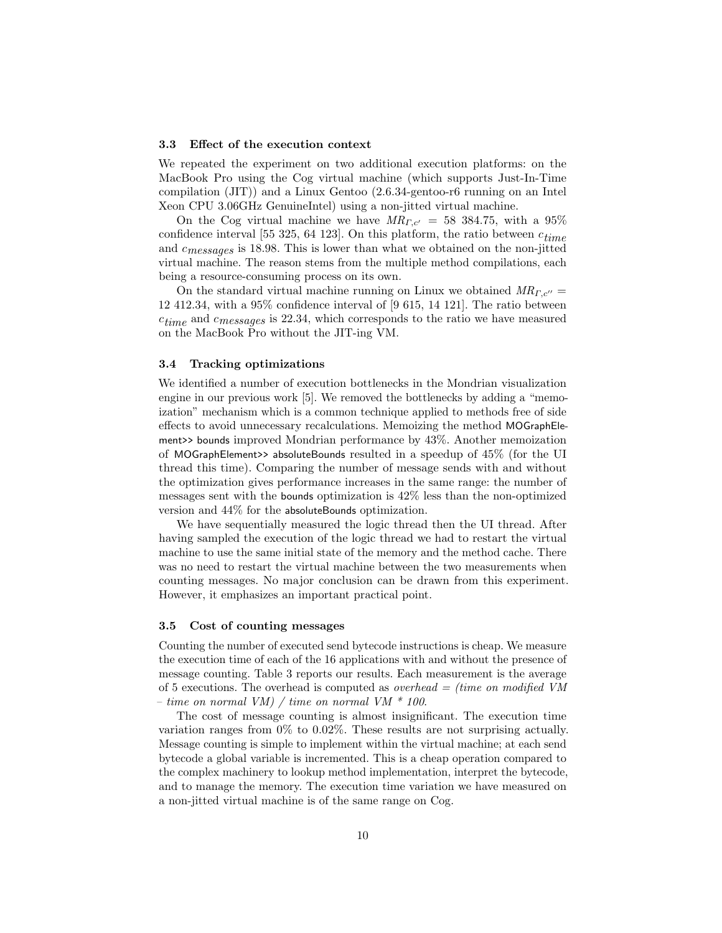#### 3.3 Effect of the execution context

We repeated the experiment on two additional execution platforms: on the MacBook Pro using the Cog virtual machine (which supports Just-In-Time compilation (JIT)) and a Linux Gentoo (2.6.34-gentoo-r6 running on an Intel Xeon CPU 3.06GHz GenuineIntel) using a non-jitted virtual machine.

On the Cog virtual machine we have  $MR_{\Gamma,c'} = 58$  384.75, with a 95% confidence interval [55 325, 64 123]. On this platform, the ratio between  $c_{time}$ and cmessages is 18.98. This is lower than what we obtained on the non-jitted virtual machine. The reason stems from the multiple method compilations, each being a resource-consuming process on its own.

On the standard virtual machine running on Linux we obtained  $MR_{\Gamma,c''}$ 12 412.34, with a 95% confidence interval of [9 615, 14 121]. The ratio between  $c_{time}$  and  $c_{message}$  is 22.34, which corresponds to the ratio we have measured on the MacBook Pro without the JIT-ing VM.

#### 3.4 Tracking optimizations

We identified a number of execution bottlenecks in the Mondrian visualization engine in our previous work [\[5\]](#page-21-7). We removed the bottlenecks by adding a "memoization" mechanism which is a common technique applied to methods free of side effects to avoid unnecessary recalculations. Memoizing the method MOGraphElement>> bounds improved Mondrian performance by 43%. Another memoization of MOGraphElement>> absoluteBounds resulted in a speedup of 45% (for the UI thread this time). Comparing the number of message sends with and without the optimization gives performance increases in the same range: the number of messages sent with the bounds optimization is 42% less than the non-optimized version and 44% for the absoluteBounds optimization.

We have sequentially measured the logic thread then the UI thread. After having sampled the execution of the logic thread we had to restart the virtual machine to use the same initial state of the memory and the method cache. There was no need to restart the virtual machine between the two measurements when counting messages. No major conclusion can be drawn from this experiment. However, it emphasizes an important practical point.

#### 3.5 Cost of counting messages

Counting the number of executed send bytecode instructions is cheap. We measure the execution time of each of the 16 applications with and without the presence of message counting. Table [3](#page-24-0) reports our results. Each measurement is the average of 5 executions. The overhead is computed as *overhead*  $=$  (time on modified VM – time on normal VM) / time on normal VM  $*$  100.

The cost of message counting is almost insignificant. The execution time variation ranges from 0% to 0.02%. These results are not surprising actually. Message counting is simple to implement within the virtual machine; at each send bytecode a global variable is incremented. This is a cheap operation compared to the complex machinery to lookup method implementation, interpret the bytecode, and to manage the memory. The execution time variation we have measured on a non-jitted virtual machine is of the same range on Cog.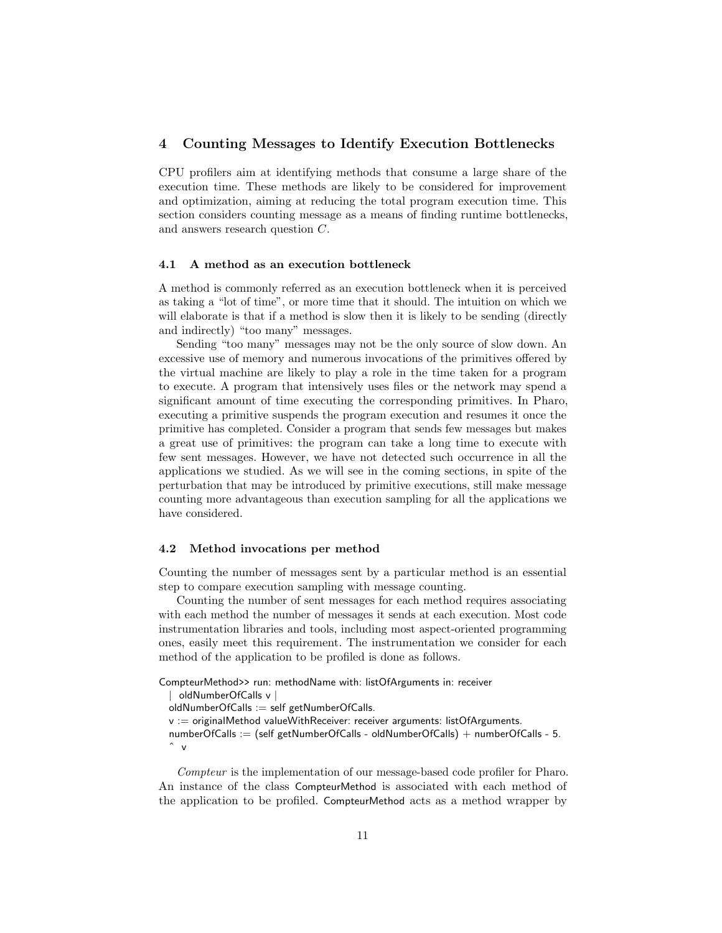## <span id="page-10-0"></span>4 Counting Messages to Identify Execution Bottlenecks

CPU profilers aim at identifying methods that consume a large share of the execution time. These methods are likely to be considered for improvement and optimization, aiming at reducing the total program execution time. This section considers counting message as a means of finding runtime bottlenecks, and answers research question C.

#### 4.1 A method as an execution bottleneck

A method is commonly referred as an execution bottleneck when it is perceived as taking a "lot of time", or more time that it should. The intuition on which we will elaborate is that if a method is slow then it is likely to be sending (directly and indirectly) "too many" messages.

Sending "too many" messages may not be the only source of slow down. An excessive use of memory and numerous invocations of the primitives offered by the virtual machine are likely to play a role in the time taken for a program to execute. A program that intensively uses files or the network may spend a significant amount of time executing the corresponding primitives. In Pharo, executing a primitive suspends the program execution and resumes it once the primitive has completed. Consider a program that sends few messages but makes a great use of primitives: the program can take a long time to execute with few sent messages. However, we have not detected such occurrence in all the applications we studied. As we will see in the coming sections, in spite of the perturbation that may be introduced by primitive executions, still make message counting more advantageous than execution sampling for all the applications we have considered.

#### <span id="page-10-1"></span>4.2 Method invocations per method

Counting the number of messages sent by a particular method is an essential step to compare execution sampling with message counting.

Counting the number of sent messages for each method requires associating with each method the number of messages it sends at each execution. Most code instrumentation libraries and tools, including most aspect-oriented programming ones, easily meet this requirement. The instrumentation we consider for each method of the application to be profiled is done as follows.

CompteurMethod>> run: methodName with: listOfArguments in: receiver | oldNumberOfCalls v | oldNumberOfCalls := self getNumberOfCalls.  $v :=$  originalMethod valueWithReceiver: receiver arguments: listOfArguments. numberOfCalls := (self getNumberOfCalls - oldNumberOfCalls) + numberOfCalls - 5. ˆ v

Compteur is the implementation of our message-based code profiler for Pharo. An instance of the class CompteurMethod is associated with each method of the application to be profiled. CompteurMethod acts as a method wrapper by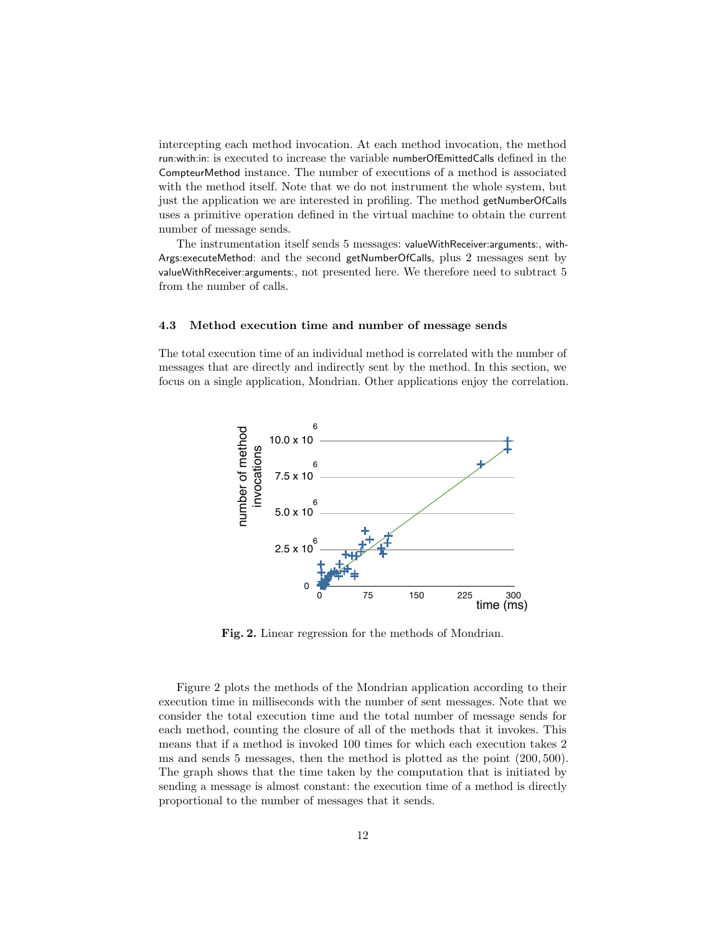intercepting each method invocation. At each method invocation, the method run:with:in: is executed to increase the variable numberOfEmittedCalls defined in the CompteurMethod instance. The number of executions of a method is associated with the method itself. Note that we do not instrument the whole system, but just the application we are interested in profiling. The method getNumberOfCalls uses a primitive operation defined in the virtual machine to obtain the current number of message sends.

The instrumentation itself sends 5 messages: valueWithReceiver:arguments:, with-Args:executeMethod: and the second getNumberOfCalls, plus 2 messages sent by valueWithReceiver:arguments:, not presented here. We therefore need to subtract 5 from the number of calls.

#### <span id="page-11-1"></span>4.3 Method execution time and number of message sends

<span id="page-11-0"></span>The total execution time of an individual method is correlated with the number of messages that are directly and indirectly sent by the method. In this section, we focus on a single application, Mondrian. Other applications enjoy the correlation.



Fig. 2. Linear regression for the methods of Mondrian.

Figure [2](#page-11-0) plots the methods of the Mondrian application according to their execution time in milliseconds with the number of sent messages. Note that we consider the total execution time and the total number of message sends for each method, counting the closure of all of the methods that it invokes. This means that if a method is invoked 100 times for which each execution takes 2 ms and sends 5 messages, then the method is plotted as the point (200, 500). The graph shows that the time taken by the computation that is initiated by sending a message is almost constant: the execution time of a method is directly proportional to the number of messages that it sends.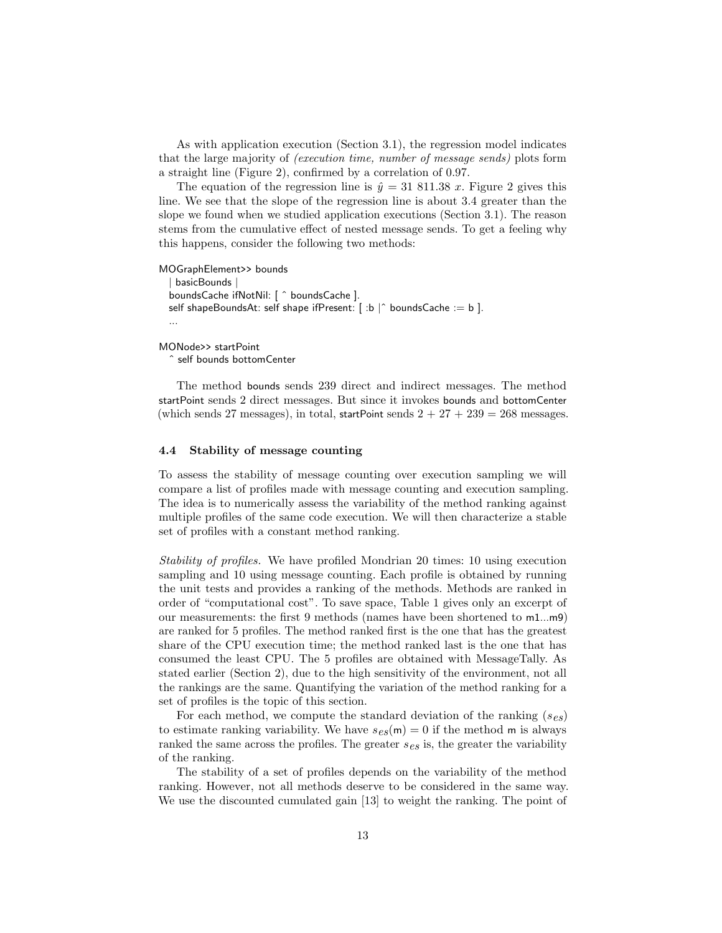As with application execution (Section [3.1\)](#page-4-2), the regression model indicates that the large majority of (execution time, number of message sends) plots form a straight line (Figure [2\)](#page-11-0), confirmed by a correlation of 0.97.

The equation of the regression line is  $\hat{y} = 31,811.38 \, x$ . Figure [2](#page-11-0) gives this line. We see that the slope of the regression line is about 3.4 greater than the slope we found when we studied application executions (Section [3.1\)](#page-4-2). The reason stems from the cumulative effect of nested message sends. To get a feeling why this happens, consider the following two methods:

```
MOGraphElement>> bounds
 | basicBounds |
 boundsCache ifNotNil: [ ˆ boundsCache ].
 self shapeBoundsAt: self shape ifPresent: [ \cdot b \mid^{\wedge} boundsCache := b ].
 ...
```
MONode>> startPoint

ˆ self bounds bottomCenter

The method bounds sends 239 direct and indirect messages. The method startPoint sends 2 direct messages. But since it invokes bounds and bottomCenter (which sends 27 messages), in total, startPoint sends  $2 + 27 + 239 = 268$  messages.

#### <span id="page-12-0"></span>4.4 Stability of message counting

To assess the stability of message counting over execution sampling we will compare a list of profiles made with message counting and execution sampling. The idea is to numerically assess the variability of the method ranking against multiple profiles of the same code execution. We will then characterize a stable set of profiles with a constant method ranking.

Stability of profiles. We have profiled Mondrian 20 times: 10 using execution sampling and 10 using message counting. Each profile is obtained by running the unit tests and provides a ranking of the methods. Methods are ranked in order of "computational cost". To save space, Table [1](#page-13-0) gives only an excerpt of our measurements: the first 9 methods (names have been shortened to m1...m9) are ranked for 5 profiles. The method ranked first is the one that has the greatest share of the CPU execution time; the method ranked last is the one that has consumed the least CPU. The 5 profiles are obtained with MessageTally. As stated earlier (Section [2\)](#page-2-0), due to the high sensitivity of the environment, not all the rankings are the same. Quantifying the variation of the method ranking for a set of profiles is the topic of this section.

For each method, we compute the standard deviation of the ranking  $(s_{es})$ to estimate ranking variability. We have  $s_{es}(m) = 0$  if the method m is always ranked the same across the profiles. The greater  $s_{es}$  is, the greater the variability of the ranking.

The stability of a set of profiles depends on the variability of the method ranking. However, not all methods deserve to be considered in the same way. We use the discounted cumulated gain [\[13\]](#page-21-8) to weight the ranking. The point of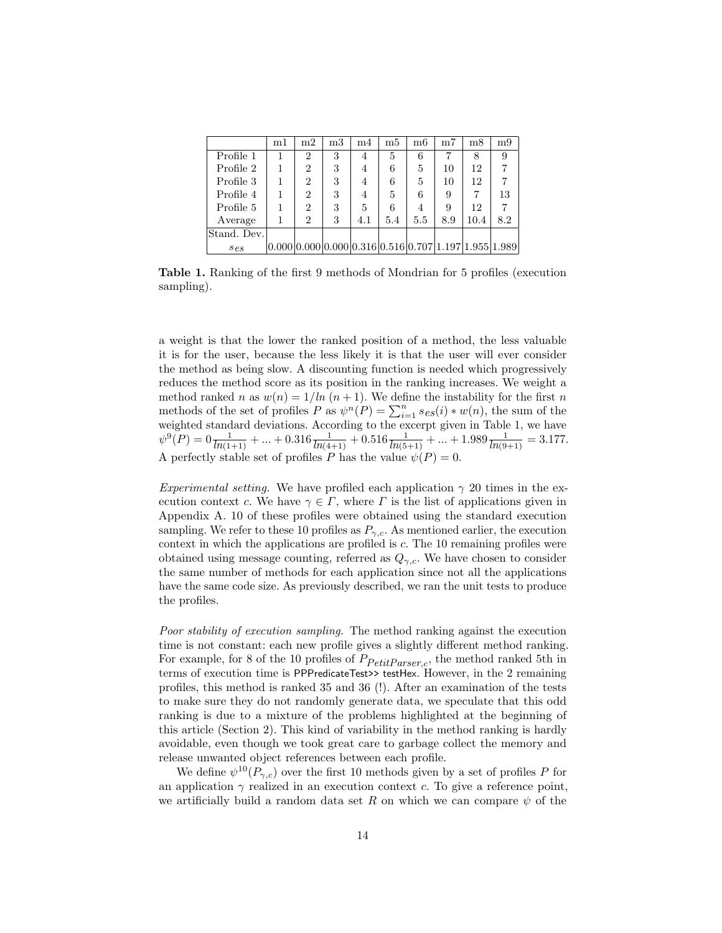<span id="page-13-0"></span>

|             | m1 | m2             | m <sub>3</sub> | m4             | $^{\rm m5}$ | m <sub>6</sub> | m <sub>7</sub> | m8   | m <sub>9</sub>                                           |
|-------------|----|----------------|----------------|----------------|-------------|----------------|----------------|------|----------------------------------------------------------|
| Profile 1   |    | 2              | 3              | 4              | 5           | 6              |                | 8    |                                                          |
| Profile 2   |    | $\overline{2}$ | 3              | 4              | 6           | 5              | 10             | 12   |                                                          |
| Profile 3   |    | $\overline{2}$ | 3              | $\overline{4}$ | 6           | 5              | 10             | 12   |                                                          |
| Profile 4   |    | $\overline{2}$ | 3              | 4              | 5           | 6              | 9              |      | 13                                                       |
| Profile 5   |    | 2              | 3              | 5              | 6           | 4              | 9              | 12   |                                                          |
| Average     |    | $\overline{2}$ | 3              | 4.1            | 5.4         | 5.5            | 8.9            | 10.4 | 8.2                                                      |
| Stand. Dev. |    |                |                |                |             |                |                |      |                                                          |
| $s_{es}$    |    |                |                |                |             |                |                |      | $0.000 0.000 0.000 0.316 0.516 0.707 1.197 1.955 1.989 $ |

Table 1. Ranking of the first 9 methods of Mondrian for 5 profiles (execution sampling).

a weight is that the lower the ranked position of a method, the less valuable it is for the user, because the less likely it is that the user will ever consider the method as being slow. A discounting function is needed which progressively reduces the method score as its position in the ranking increases. We weight a method ranked n as  $w(n) = 1/ln (n + 1)$ . We define the instability for the first n methods of the set of profiles  $P$  as  $\psi^{n}(P) = \sum_{i=1}^{n} s_{es}(i) * w(n)$ , the sum of the weighted standard deviations. According to the excerpt given in Table [1,](#page-13-0) we have  $\psi^{9}(P) = 0 \frac{1}{\ln(1+1)} + \ldots + 0.316 \frac{1}{\ln(4+1)} + 0.516 \frac{1}{\ln(5+1)} + \ldots + 1.989 \frac{1}{\ln(9+1)} = 3.177.$ A perfectly stable set of profiles P has the value  $\psi(P) = 0$ .

Experimental setting. We have profiled each application  $\gamma$  20 times in the execution context c. We have  $\gamma \in \Gamma$ , where  $\Gamma$  is the list of applications given in Appendix [A.](#page-22-4) 10 of these profiles were obtained using the standard execution sampling. We refer to these 10 profiles as  $P_{\gamma,c}$ . As mentioned earlier, the execution context in which the applications are profiled is c. The 10 remaining profiles were obtained using message counting, referred as  $Q_{\gamma,c}$ . We have chosen to consider the same number of methods for each application since not all the applications have the same code size. As previously described, we ran the unit tests to produce the profiles.

Poor stability of execution sampling. The method ranking against the execution time is not constant: each new profile gives a slightly different method ranking. For example, for 8 of the 10 profiles of  $P_{PetitParser,c}$ , the method ranked 5th in terms of execution time is PPPredicateTest>> testHex. However, in the 2 remaining profiles, this method is ranked 35 and 36 (!). After an examination of the tests to make sure they do not randomly generate data, we speculate that this odd ranking is due to a mixture of the problems highlighted at the beginning of this article (Section [2\)](#page-2-0). This kind of variability in the method ranking is hardly avoidable, even though we took great care to garbage collect the memory and release unwanted object references between each profile.

We define  $\psi^{10}(P_{\gamma,c})$  over the first 10 methods given by a set of profiles P for an application  $\gamma$  realized in an execution context c. To give a reference point, we artificially build a random data set R on which we can compare  $\psi$  of the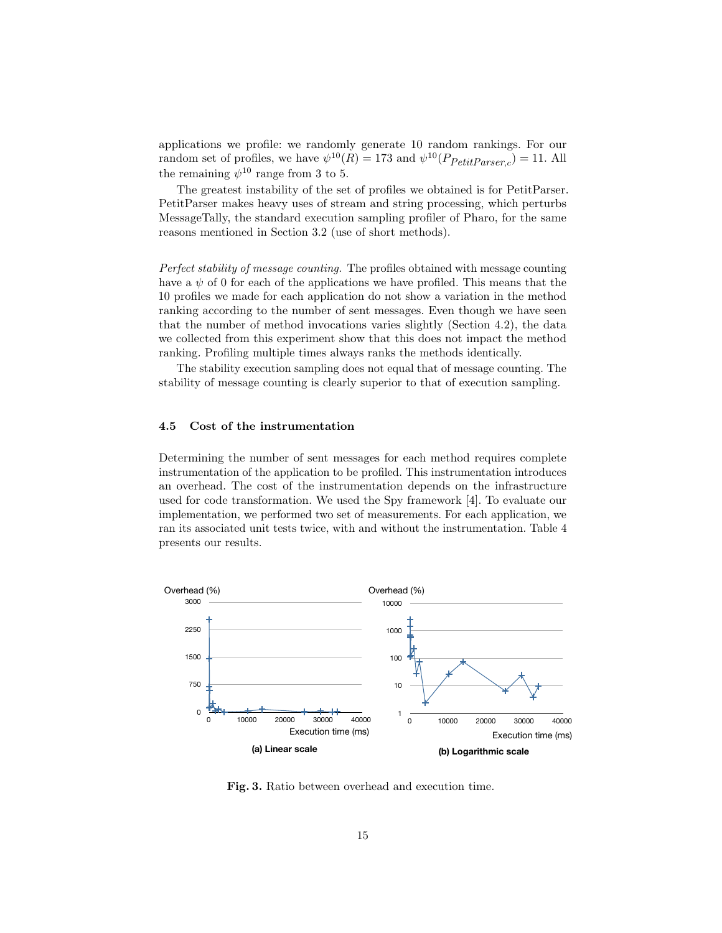applications we profile: we randomly generate 10 random rankings. For our random set of profiles, we have  $\psi^{10}(R) = 173$  and  $\psi^{10}(P_{PettParser,c}) = 11$ . All the remaining  $\psi^{10}$  range from 3 to 5.

The greatest instability of the set of profiles we obtained is for PetitParser. PetitParser makes heavy uses of stream and string processing, which perturbs MessageTally, the standard execution sampling profiler of Pharo, for the same reasons mentioned in Section [3.2](#page-7-1) (use of short methods).

Perfect stability of message counting. The profiles obtained with message counting have a  $\psi$  of 0 for each of the applications we have profiled. This means that the 10 profiles we made for each application do not show a variation in the method ranking according to the number of sent messages. Even though we have seen that the number of method invocations varies slightly (Section [4.2\)](#page-10-1), the data we collected from this experiment show that this does not impact the method ranking. Profiling multiple times always ranks the methods identically.

The stability execution sampling does not equal that of message counting. The stability of message counting is clearly superior to that of execution sampling.

### 4.5 Cost of the instrumentation

Determining the number of sent messages for each method requires complete instrumentation of the application to be profiled. This instrumentation introduces an overhead. The cost of the instrumentation depends on the infrastructure used for code transformation. We used the Spy framework [\[4\]](#page-21-9). To evaluate our implementation, we performed two set of measurements. For each application, we ran its associated unit tests twice, with and without the instrumentation. Table [4](#page-24-1) presents our results.

<span id="page-14-0"></span>

Fig. 3. Ratio between overhead and execution time.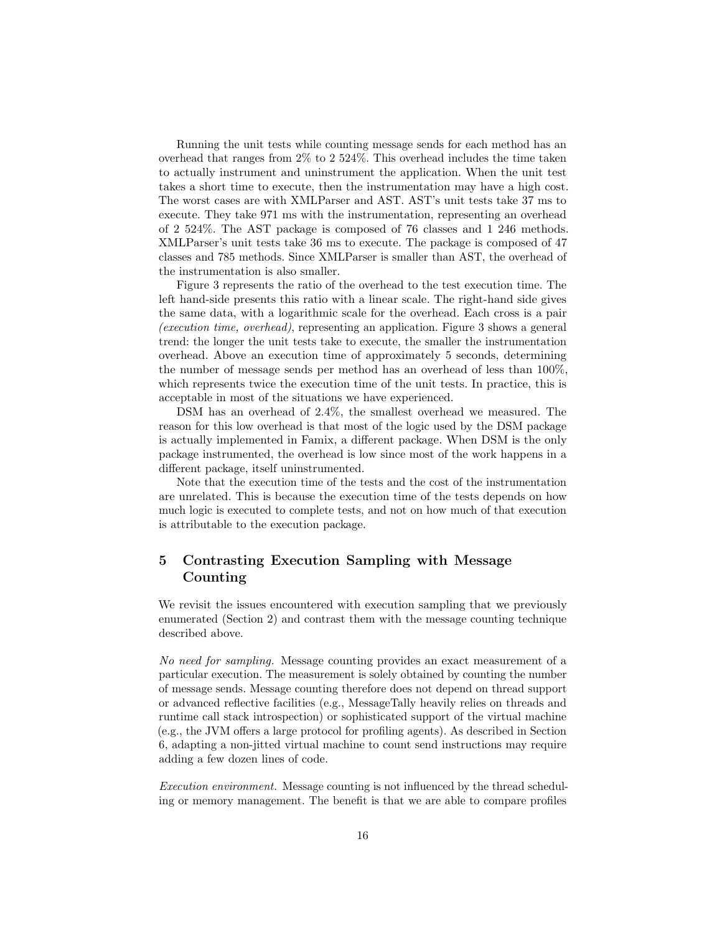Running the unit tests while counting message sends for each method has an overhead that ranges from 2% to 2 524%. This overhead includes the time taken to actually instrument and uninstrument the application. When the unit test takes a short time to execute, then the instrumentation may have a high cost. The worst cases are with XMLParser and AST. AST's unit tests take 37 ms to execute. They take 971 ms with the instrumentation, representing an overhead of 2 524%. The AST package is composed of 76 classes and 1 246 methods. XMLParser's unit tests take 36 ms to execute. The package is composed of 47 classes and 785 methods. Since XMLParser is smaller than AST, the overhead of the instrumentation is also smaller.

Figure [3](#page-14-0) represents the ratio of the overhead to the test execution time. The left hand-side presents this ratio with a linear scale. The right-hand side gives the same data, with a logarithmic scale for the overhead. Each cross is a pair (execution time, overhead), representing an application. Figure [3](#page-14-0) shows a general trend: the longer the unit tests take to execute, the smaller the instrumentation overhead. Above an execution time of approximately 5 seconds, determining the number of message sends per method has an overhead of less than 100%, which represents twice the execution time of the unit tests. In practice, this is acceptable in most of the situations we have experienced.

DSM has an overhead of 2.4%, the smallest overhead we measured. The reason for this low overhead is that most of the logic used by the DSM package is actually implemented in Famix, a different package. When DSM is the only package instrumented, the overhead is low since most of the work happens in a different package, itself uninstrumented.

Note that the execution time of the tests and the cost of the instrumentation are unrelated. This is because the execution time of the tests depends on how much logic is executed to complete tests, and not on how much of that execution is attributable to the execution package.

## <span id="page-15-0"></span>5 Contrasting Execution Sampling with Message Counting

We revisit the issues encountered with execution sampling that we previously enumerated (Section [2\)](#page-2-0) and contrast them with the message counting technique described above.

No need for sampling. Message counting provides an exact measurement of a particular execution. The measurement is solely obtained by counting the number of message sends. Message counting therefore does not depend on thread support or advanced reflective facilities (e.g., MessageTally heavily relies on threads and runtime call stack introspection) or sophisticated support of the virtual machine (e.g., the JVM offers a large protocol for profiling agents). As described in Section [6,](#page-16-0) adapting a non-jitted virtual machine to count send instructions may require adding a few dozen lines of code.

Execution environment. Message counting is not influenced by the thread scheduling or memory management. The benefit is that we are able to compare profiles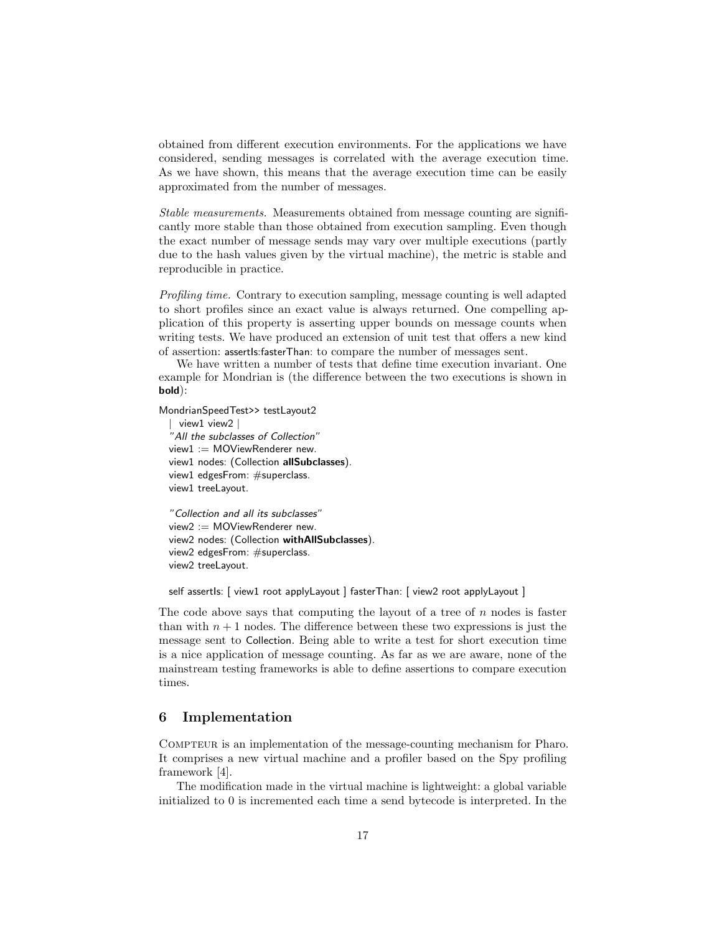obtained from different execution environments. For the applications we have considered, sending messages is correlated with the average execution time. As we have shown, this means that the average execution time can be easily approximated from the number of messages.

Stable measurements. Measurements obtained from message counting are significantly more stable than those obtained from execution sampling. Even though the exact number of message sends may vary over multiple executions (partly due to the hash values given by the virtual machine), the metric is stable and reproducible in practice.

Profiling time. Contrary to execution sampling, message counting is well adapted to short profiles since an exact value is always returned. One compelling application of this property is asserting upper bounds on message counts when writing tests. We have produced an extension of unit test that offers a new kind of assertion: assertIs:fasterThan: to compare the number of messages sent.

We have written a number of tests that define time execution invariant. One example for Mondrian is (the difference between the two executions is shown in bold):

MondrianSpeedTest>> testLayout2

| view1 view2 | "All the subclasses of Collection"  $view1 := MOViewRenderer new$ . view1 nodes: (Collection allSubclasses). view1 edgesFrom: #superclass. view1 treeLayout.

"Collection and all its subclasses" view2 := MOViewRenderer new. view2 nodes: (Collection withAllSubclasses). view2 edgesFrom: #superclass. view2 treeLayout.

self assertls: [ view1 root applyLayout ] fasterThan: [ view2 root applyLayout ]

The code above says that computing the layout of a tree of  $n$  nodes is faster than with  $n + 1$  nodes. The difference between these two expressions is just the message sent to Collection. Being able to write a test for short execution time is a nice application of message counting. As far as we are aware, none of the mainstream testing frameworks is able to define assertions to compare execution times.

## <span id="page-16-0"></span>6 Implementation

Compteur is an implementation of the message-counting mechanism for Pharo. It comprises a new virtual machine and a profiler based on the Spy profiling framework [\[4\]](#page-21-9).

The modification made in the virtual machine is lightweight: a global variable initialized to 0 is incremented each time a send bytecode is interpreted. In the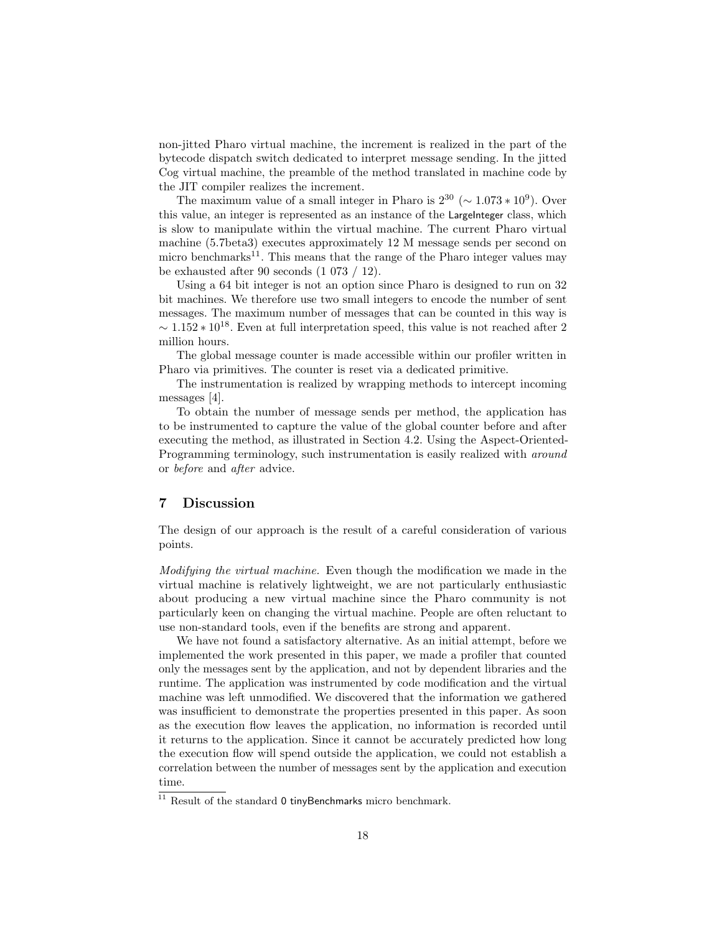non-jitted Pharo virtual machine, the increment is realized in the part of the bytecode dispatch switch dedicated to interpret message sending. In the jitted Cog virtual machine, the preamble of the method translated in machine code by the JIT compiler realizes the increment.

The maximum value of a small integer in Pharo is  $2^{30}$  ( $\sim 1.073 * 10^9$ ). Over this value, an integer is represented as an instance of the LargeInteger class, which is slow to manipulate within the virtual machine. The current Pharo virtual machine (5.7beta3) executes approximately 12 M message sends per second on micro benchmarks<sup>[11](#page-17-1)</sup>. This means that the range of the Pharo integer values may be exhausted after 90 seconds (1 073 / 12).

Using a 64 bit integer is not an option since Pharo is designed to run on 32 bit machines. We therefore use two small integers to encode the number of sent messages. The maximum number of messages that can be counted in this way is  $\sim 1.152 * 10^{18}$ . Even at full interpretation speed, this value is not reached after 2 million hours.

The global message counter is made accessible within our profiler written in Pharo via primitives. The counter is reset via a dedicated primitive.

The instrumentation is realized by wrapping methods to intercept incoming messages [\[4\]](#page-21-9).

To obtain the number of message sends per method, the application has to be instrumented to capture the value of the global counter before and after executing the method, as illustrated in Section [4.2.](#page-10-1) Using the Aspect-Oriented-Programming terminology, such instrumentation is easily realized with around or before and after advice.

## <span id="page-17-0"></span>7 Discussion

The design of our approach is the result of a careful consideration of various points.

Modifying the virtual machine. Even though the modification we made in the virtual machine is relatively lightweight, we are not particularly enthusiastic about producing a new virtual machine since the Pharo community is not particularly keen on changing the virtual machine. People are often reluctant to use non-standard tools, even if the benefits are strong and apparent.

We have not found a satisfactory alternative. As an initial attempt, before we implemented the work presented in this paper, we made a profiler that counted only the messages sent by the application, and not by dependent libraries and the runtime. The application was instrumented by code modification and the virtual machine was left unmodified. We discovered that the information we gathered was insufficient to demonstrate the properties presented in this paper. As soon as the execution flow leaves the application, no information is recorded until it returns to the application. Since it cannot be accurately predicted how long the execution flow will spend outside the application, we could not establish a correlation between the number of messages sent by the application and execution time.

<span id="page-17-1"></span> $\frac{11}{11}$  Result of the standard 0 tinyBenchmarks micro benchmark.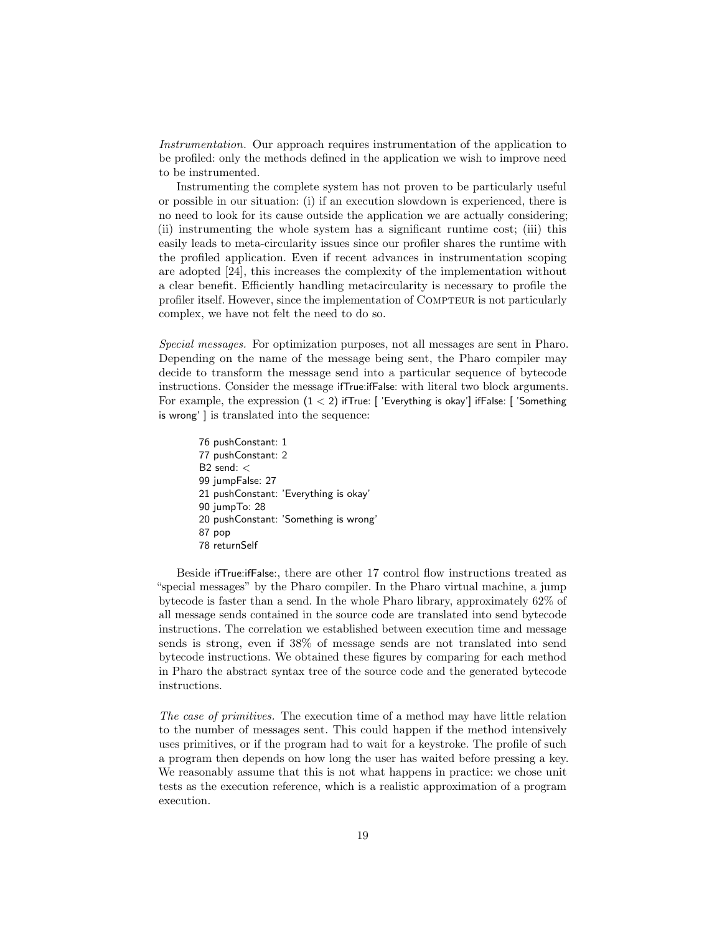Instrumentation. Our approach requires instrumentation of the application to be profiled: only the methods defined in the application we wish to improve need to be instrumented.

Instrumenting the complete system has not proven to be particularly useful or possible in our situation: (i) if an execution slowdown is experienced, there is no need to look for its cause outside the application we are actually considering; (ii) instrumenting the whole system has a significant runtime cost; (iii) this easily leads to meta-circularity issues since our profiler shares the runtime with the profiled application. Even if recent advances in instrumentation scoping are adopted [\[24\]](#page-22-5), this increases the complexity of the implementation without a clear benefit. Efficiently handling metacircularity is necessary to profile the profiler itself. However, since the implementation of Compteur is not particularly complex, we have not felt the need to do so.

Special messages. For optimization purposes, not all messages are sent in Pharo. Depending on the name of the message being sent, the Pharo compiler may decide to transform the message send into a particular sequence of bytecode instructions. Consider the message ifTrue:ifFalse: with literal two block arguments. For example, the expression  $(1 < 2)$  if True: [ 'Everything is okay'] if False: [ 'Something is wrong' ] is translated into the sequence:

76 pushConstant: 1 77 pushConstant: 2 B2 send:  $<$ 99 jumpFalse: 27 21 pushConstant: 'Everything is okay' 90 jumpTo: 28 20 pushConstant: 'Something is wrong' 87 pop 78 returnSelf

Beside ifTrue:ifFalse:, there are other 17 control flow instructions treated as "special messages" by the Pharo compiler. In the Pharo virtual machine, a jump bytecode is faster than a send. In the whole Pharo library, approximately 62% of all message sends contained in the source code are translated into send bytecode instructions. The correlation we established between execution time and message sends is strong, even if 38% of message sends are not translated into send bytecode instructions. We obtained these figures by comparing for each method in Pharo the abstract syntax tree of the source code and the generated bytecode instructions.

The case of primitives. The execution time of a method may have little relation to the number of messages sent. This could happen if the method intensively uses primitives, or if the program had to wait for a keystroke. The profile of such a program then depends on how long the user has waited before pressing a key. We reasonably assume that this is not what happens in practice: we chose unit tests as the execution reference, which is a realistic approximation of a program execution.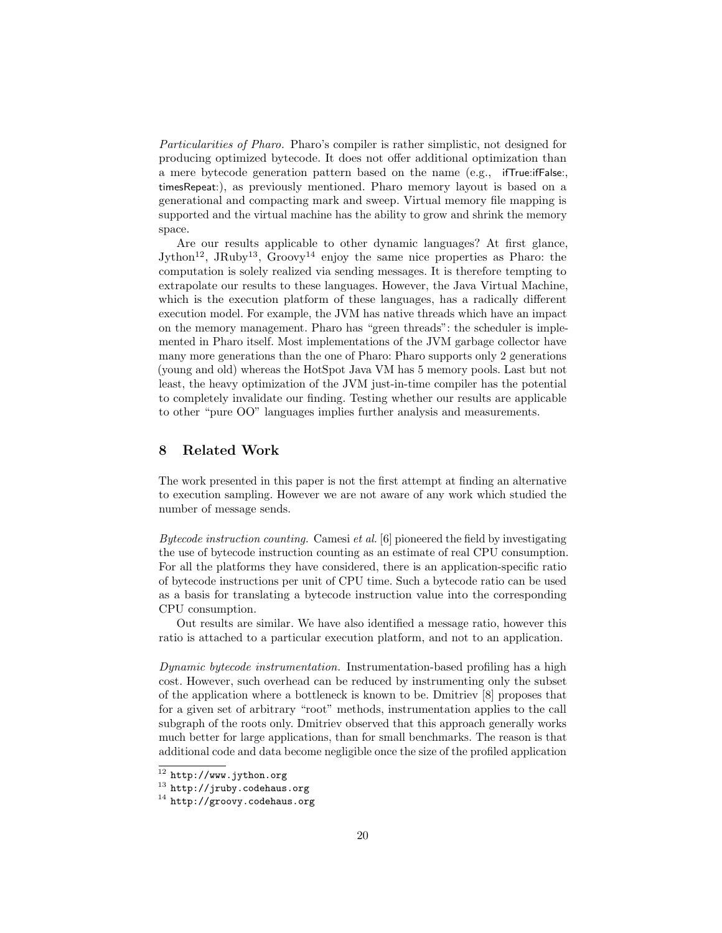Particularities of Pharo. Pharo's compiler is rather simplistic, not designed for producing optimized bytecode. It does not offer additional optimization than a mere bytecode generation pattern based on the name (e.g., ifTrue:ifFalse:, timesRepeat:), as previously mentioned. Pharo memory layout is based on a generational and compacting mark and sweep. Virtual memory file mapping is supported and the virtual machine has the ability to grow and shrink the memory space.

Are our results applicable to other dynamic languages? At first glance, Jython<sup>[12](#page-19-1)</sup>, JRuby<sup>[13](#page-19-2)</sup>, Groovy<sup>[14](#page-19-3)</sup> enjoy the same nice properties as Pharo: the computation is solely realized via sending messages. It is therefore tempting to extrapolate our results to these languages. However, the Java Virtual Machine, which is the execution platform of these languages, has a radically different execution model. For example, the JVM has native threads which have an impact on the memory management. Pharo has "green threads": the scheduler is implemented in Pharo itself. Most implementations of the JVM garbage collector have many more generations than the one of Pharo: Pharo supports only 2 generations (young and old) whereas the HotSpot Java VM has 5 memory pools. Last but not least, the heavy optimization of the JVM just-in-time compiler has the potential to completely invalidate our finding. Testing whether our results are applicable to other "pure OO" languages implies further analysis and measurements.

## <span id="page-19-0"></span>8 Related Work

The work presented in this paper is not the first attempt at finding an alternative to execution sampling. However we are not aware of any work which studied the number of message sends.

Bytecode instruction counting. Camesi et al. [\[6\]](#page-21-2) pioneered the field by investigating the use of bytecode instruction counting as an estimate of real CPU consumption. For all the platforms they have considered, there is an application-specific ratio of bytecode instructions per unit of CPU time. Such a bytecode ratio can be used as a basis for translating a bytecode instruction value into the corresponding CPU consumption.

Out results are similar. We have also identified a message ratio, however this ratio is attached to a particular execution platform, and not to an application.

Dynamic bytecode instrumentation. Instrumentation-based profiling has a high cost. However, such overhead can be reduced by instrumenting only the subset of the application where a bottleneck is known to be. Dmitriev [\[8\]](#page-21-10) proposes that for a given set of arbitrary "root" methods, instrumentation applies to the call subgraph of the roots only. Dmitriev observed that this approach generally works much better for large applications, than for small benchmarks. The reason is that additional code and data become negligible once the size of the profiled application

<span id="page-19-1"></span> $\overline{12}$  <http://www.jython.org>

<span id="page-19-2"></span> $^{13}$  <http://jruby.codehaus.org>

<span id="page-19-3"></span><sup>14</sup> <http://groovy.codehaus.org>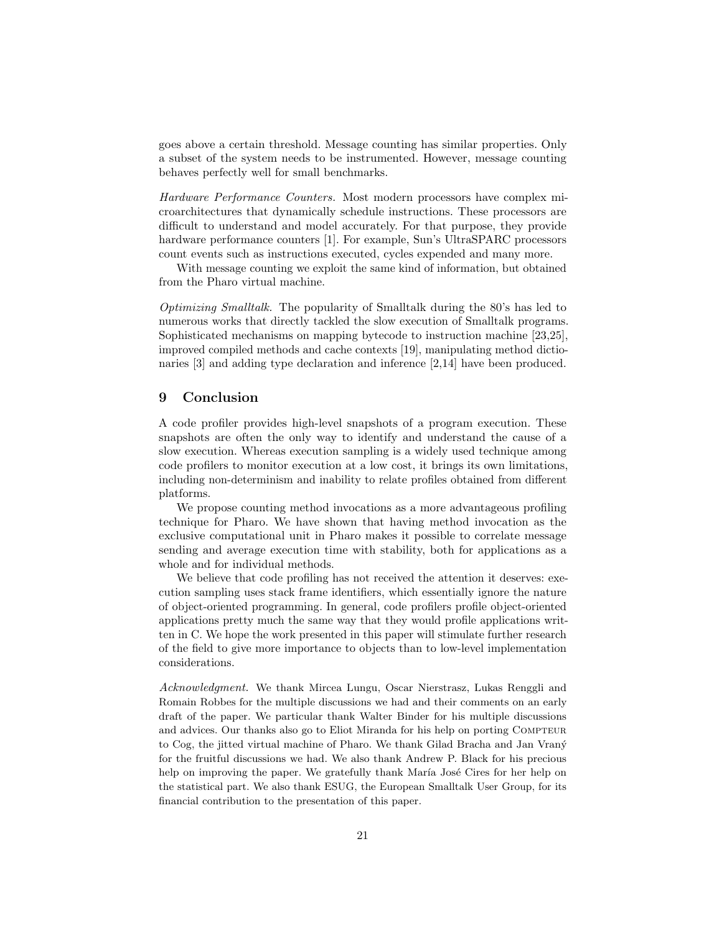goes above a certain threshold. Message counting has similar properties. Only a subset of the system needs to be instrumented. However, message counting behaves perfectly well for small benchmarks.

Hardware Performance Counters. Most modern processors have complex microarchitectures that dynamically schedule instructions. These processors are difficult to understand and model accurately. For that purpose, they provide hardware performance counters [\[1\]](#page-21-11). For example, Sun's UltraSPARC processors count events such as instructions executed, cycles expended and many more.

With message counting we exploit the same kind of information, but obtained from the Pharo virtual machine.

Optimizing Smalltalk. The popularity of Smalltalk during the 80's has led to numerous works that directly tackled the slow execution of Smalltalk programs. Sophisticated mechanisms on mapping bytecode to instruction machine [\[23](#page-22-1)[,25\]](#page-22-6), improved compiled methods and cache contexts [\[19\]](#page-21-12), manipulating method dictionaries [\[3\]](#page-21-13) and adding type declaration and inference [\[2,](#page-21-14)[14\]](#page-21-15) have been produced.

### <span id="page-20-0"></span>9 Conclusion

A code profiler provides high-level snapshots of a program execution. These snapshots are often the only way to identify and understand the cause of a slow execution. Whereas execution sampling is a widely used technique among code profilers to monitor execution at a low cost, it brings its own limitations, including non-determinism and inability to relate profiles obtained from different platforms.

We propose counting method invocations as a more advantageous profiling technique for Pharo. We have shown that having method invocation as the exclusive computational unit in Pharo makes it possible to correlate message sending and average execution time with stability, both for applications as a whole and for individual methods.

We believe that code profiling has not received the attention it deserves: execution sampling uses stack frame identifiers, which essentially ignore the nature of object-oriented programming. In general, code profilers profile object-oriented applications pretty much the same way that they would profile applications written in C. We hope the work presented in this paper will stimulate further research of the field to give more importance to objects than to low-level implementation considerations.

Acknowledgment. We thank Mircea Lungu, Oscar Nierstrasz, Lukas Renggli and Romain Robbes for the multiple discussions we had and their comments on an early draft of the paper. We particular thank Walter Binder for his multiple discussions and advices. Our thanks also go to Eliot Miranda for his help on porting COMPTEUR to Cog, the jitted virtual machine of Pharo. We thank Gilad Bracha and Jan Vraný for the fruitful discussions we had. We also thank Andrew P. Black for his precious help on improving the paper. We gratefully thank María José Cires for her help on the statistical part. We also thank ESUG, the European Smalltalk User Group, for its financial contribution to the presentation of this paper.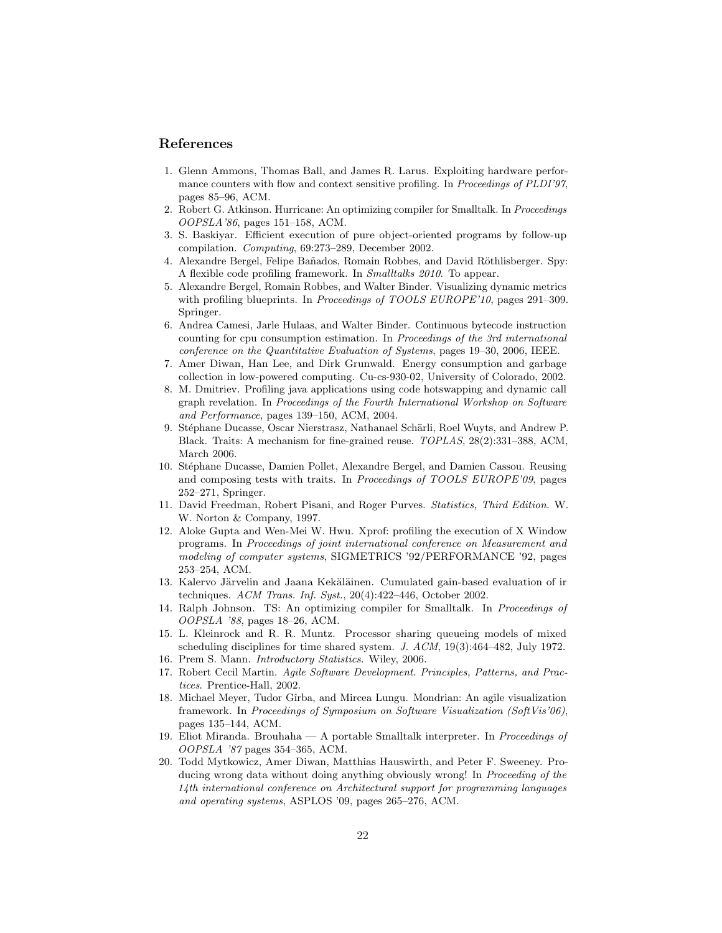## References

- <span id="page-21-11"></span>1. Glenn Ammons, Thomas Ball, and James R. Larus. Exploiting hardware performance counters with flow and context sensitive profiling. In Proceedings of PLDI'97, pages 85–96, ACM.
- <span id="page-21-14"></span>2. Robert G. Atkinson. Hurricane: An optimizing compiler for Smalltalk. In Proceedings OOPSLA'86, pages 151–158, ACM.
- <span id="page-21-13"></span>3. S. Baskiyar. Efficient execution of pure object-oriented programs by follow-up compilation. Computing, 69:273–289, December 2002.
- <span id="page-21-9"></span>4. Alexandre Bergel, Felipe Bañados, Romain Robbes, and David Röthlisberger. Spy: A flexible code profiling framework. In Smalltalks 2010. To appear.
- <span id="page-21-7"></span>5. Alexandre Bergel, Romain Robbes, and Walter Binder. Visualizing dynamic metrics with profiling blueprints. In *Proceedings of TOOLS EUROPE'10*, pages 291–309. Springer.
- <span id="page-21-2"></span>6. Andrea Camesi, Jarle Hulaas, and Walter Binder. Continuous bytecode instruction counting for cpu consumption estimation. In Proceedings of the 3rd international conference on the Quantitative Evaluation of Systems, pages 19–30, 2006, IEEE.
- 7. Amer Diwan, Han Lee, and Dirk Grunwald. Energy consumption and garbage collection in low-powered computing. Cu-cs-930-02, University of Colorado, 2002.
- <span id="page-21-10"></span>8. M. Dmitriev. Profiling java applications using code hotswapping and dynamic call graph revelation. In Proceedings of the Fourth International Workshop on Software and Performance, pages 139–150, ACM, 2004.
- <span id="page-21-16"></span>9. Stéphane Ducasse, Oscar Nierstrasz, Nathanael Schärli, Roel Wuyts, and Andrew P. Black. Traits: A mechanism for fine-grained reuse. TOPLAS, 28(2):331–388, ACM, March 2006.
- <span id="page-21-6"></span>10. St´ephane Ducasse, Damien Pollet, Alexandre Bergel, and Damien Cassou. Reusing and composing tests with traits. In Proceedings of TOOLS EUROPE'09, pages 252–271, Springer.
- <span id="page-21-17"></span>11. David Freedman, Robert Pisani, and Roger Purves. Statistics, Third Edition. W. W. Norton & Company, 1997.
- <span id="page-21-0"></span>12. Aloke Gupta and Wen-Mei W. Hwu. Xprof: profiling the execution of X Window programs. In Proceedings of joint international conference on Measurement and modeling of computer systems, SIGMETRICS '92/PERFORMANCE '92, pages 253–254, ACM.
- <span id="page-21-8"></span>13. Kalervo Järvelin and Jaana Kekäläinen. Cumulated gain-based evaluation of ir techniques. ACM Trans. Inf. Syst., 20(4):422–446, October 2002.
- <span id="page-21-15"></span>14. Ralph Johnson. TS: An optimizing compiler for Smalltalk. In Proceedings of OOPSLA '88, pages 18–26, ACM.
- <span id="page-21-1"></span>15. L. Kleinrock and R. R. Muntz. Processor sharing queueing models of mixed scheduling disciplines for time shared system. J. ACM, 19(3):464–482, July 1972. 16. Prem S. Mann. Introductory Statistics. Wiley, 2006.
- <span id="page-21-4"></span>
- <span id="page-21-5"></span>17. Robert Cecil Martin. Agile Software Development. Principles, Patterns, and Practices. Prentice-Hall, 2002.
- <span id="page-21-3"></span>18. Michael Meyer, Tudor Gˆırba, and Mircea Lungu. Mondrian: An agile visualization framework. In Proceedings of Symposium on Software Visualization (SoftVis'06), pages 135–144, ACM.
- <span id="page-21-12"></span>19. Eliot Miranda. Brouhaha — A portable Smalltalk interpreter. In Proceedings of OOPSLA '87 pages 354–365, ACM.
- 20. Todd Mytkowicz, Amer Diwan, Matthias Hauswirth, and Peter F. Sweeney. Producing wrong data without doing anything obviously wrong! In Proceeding of the 14th international conference on Architectural support for programming languages and operating systems, ASPLOS '09, pages 265–276, ACM.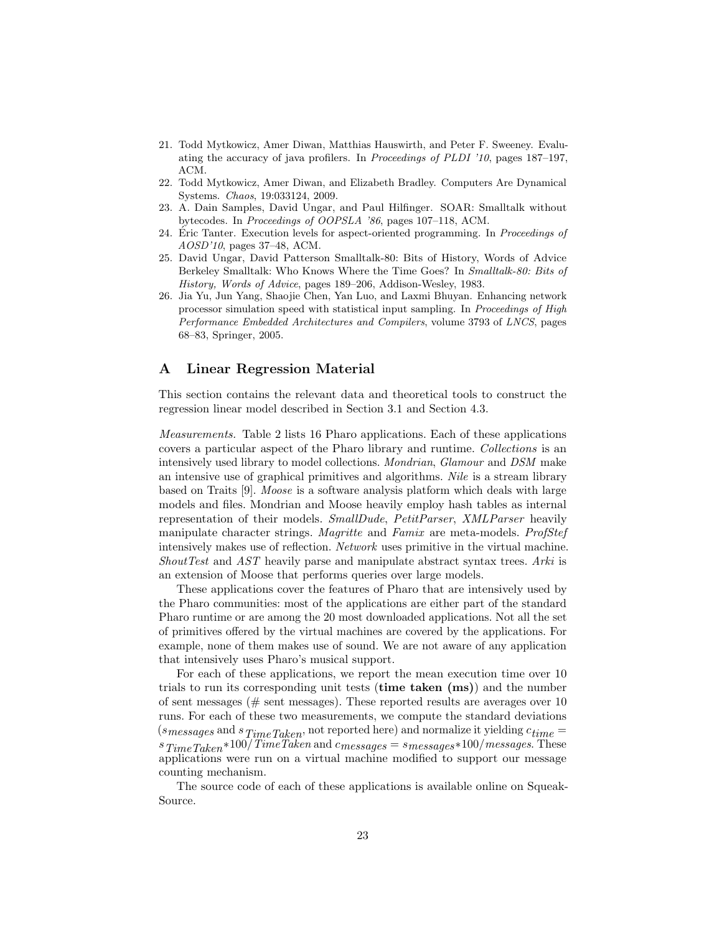- <span id="page-22-2"></span>21. Todd Mytkowicz, Amer Diwan, Matthias Hauswirth, and Peter F. Sweeney. Evaluating the accuracy of java profilers. In Proceedings of PLDI '10, pages 187–197, ACM.
- <span id="page-22-3"></span>22. Todd Mytkowicz, Amer Diwan, and Elizabeth Bradley. Computers Are Dynamical Systems. Chaos, 19:033124, 2009.
- <span id="page-22-1"></span>23. A. Dain Samples, David Ungar, and Paul Hilfinger. SOAR: Smalltalk without bytecodes. In Proceedings of OOPSLA '86, pages 107–118, ACM.
- <span id="page-22-5"></span>24. Eric Tanter. Execution levels for aspect-oriented programming. In *Proceedings of* AOSD'10, pages 37–48, ACM.
- <span id="page-22-6"></span>25. David Ungar, David Patterson Smalltalk-80: Bits of History, Words of Advice Berkeley Smalltalk: Who Knows Where the Time Goes? In Smalltalk-80: Bits of History, Words of Advice, pages 189–206, Addison-Wesley, 1983.
- <span id="page-22-0"></span>26. Jia Yu, Jun Yang, Shaojie Chen, Yan Luo, and Laxmi Bhuyan. Enhancing network processor simulation speed with statistical input sampling. In Proceedings of High Performance Embedded Architectures and Compilers, volume 3793 of LNCS, pages 68–83, Springer, 2005.

## <span id="page-22-4"></span>A Linear Regression Material

This section contains the relevant data and theoretical tools to construct the regression linear model described in Section [3.1](#page-4-2) and Section [4.3.](#page-11-1)

Measurements. Table [2](#page-23-0) lists 16 Pharo applications. Each of these applications covers a particular aspect of the Pharo library and runtime. Collections is an intensively used library to model collections. Mondrian, Glamour and DSM make an intensive use of graphical primitives and algorithms. Nile is a stream library based on Traits [\[9\]](#page-21-16). Moose is a software analysis platform which deals with large models and files. Mondrian and Moose heavily employ hash tables as internal representation of their models. SmallDude, PetitParser, XMLParser heavily manipulate character strings. Magritte and Famix are meta-models. ProfStef intensively makes use of reflection. Network uses primitive in the virtual machine. ShoutTest and AST heavily parse and manipulate abstract syntax trees. Arki is an extension of Moose that performs queries over large models.

These applications cover the features of Pharo that are intensively used by the Pharo communities: most of the applications are either part of the standard Pharo runtime or are among the 20 most downloaded applications. Not all the set of primitives offered by the virtual machines are covered by the applications. For example, none of them makes use of sound. We are not aware of any application that intensively uses Pharo's musical support.

For each of these applications, we report the mean execution time over 10 trials to run its corresponding unit tests (time taken (ms)) and the number of sent messages ( $\#$  sent messages). These reported results are averages over 10 runs. For each of these two measurements, we compute the standard deviations  $(s_{messages}$  and  $s_{Time\,Take}$ , not reported here) and normalize it yielding  $c_{time}$  = s  $T_{time}$ T<sub>aken</sub>∗100/TimeTaken and c<sub>messages</sub> = s<sub>messages</sub>\*100/messages. These applications were run on a virtual machine modified to support our message counting mechanism.

The source code of each of these applications is available online on Squeak-Source.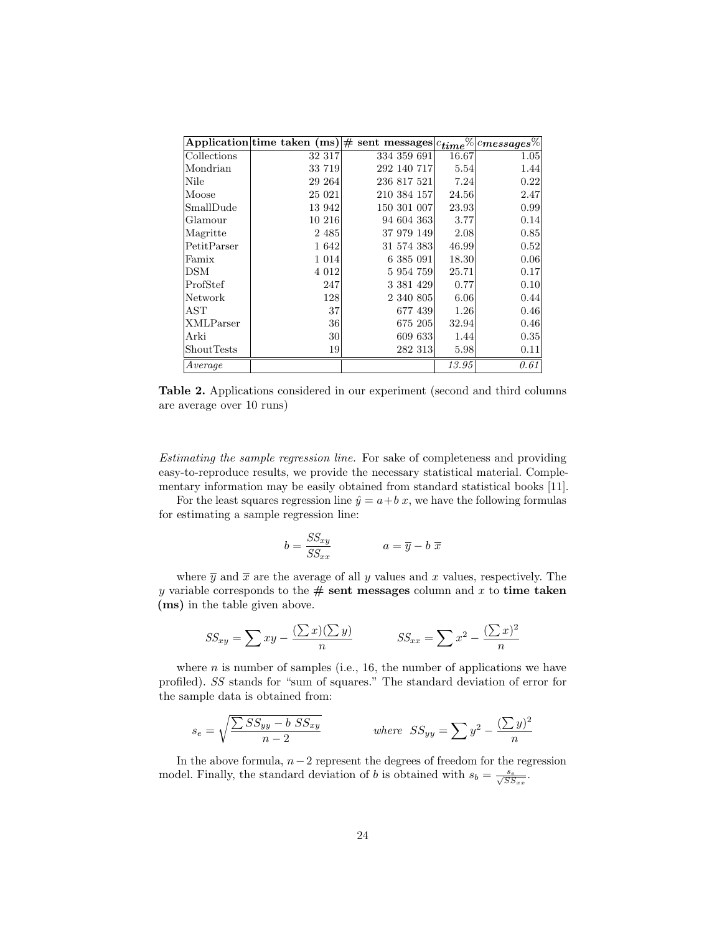<span id="page-23-0"></span>

|                   |         | $\text{Application} \text{time taken (ms)} \text{\# sent messages} c_{time}\% c{message}s\% $ |       |      |
|-------------------|---------|-----------------------------------------------------------------------------------------------|-------|------|
| Collections       | 32 317  | 334 359 691                                                                                   | 16.67 | 1.05 |
| Mondrian          | 33 719  | 292 140 717                                                                                   | 5.54  | 1.44 |
| Nile              | 29 264  | 236 817 521                                                                                   | 7.24  | 0.22 |
| Moose             | 25 021  | 210 384 157                                                                                   | 24.56 | 2.47 |
| SmallDude         | 13 942  | 150 301 007                                                                                   | 23.93 | 0.99 |
| Glamour           | 10 216  | 94 604 363                                                                                    | 3.77  | 0.14 |
| Magritte          | 2 4 8 5 | 37 979 149                                                                                    | 2.08  | 0.85 |
| PetitParser       | 1 642   | 31 574 383                                                                                    | 46.99 | 0.52 |
| Famix             | 1 0 1 4 | 6 385 091                                                                                     | 18.30 | 0.06 |
| DSM               | 4 0 1 2 | 5 954 759                                                                                     | 25.71 | 0.17 |
| ProfStef          | 247     | 3 381 429                                                                                     | 0.77  | 0.10 |
| Network           | 128     | 2 340 805                                                                                     | 6.06  | 0.44 |
| AST               | 37      | 677 439                                                                                       | 1.26  | 0.46 |
| <b>XMLParser</b>  | 36      | 675 205                                                                                       | 32.94 | 0.46 |
| Arki              | 30      | 609 633                                                                                       | 1.44  | 0.35 |
| <b>ShoutTests</b> | 19      | 282 313                                                                                       | 5.98  | 0.11 |
| Average           |         |                                                                                               | 13.95 | 0.61 |

Table 2. Applications considered in our experiment (second and third columns are average over 10 runs)

Estimating the sample regression line. For sake of completeness and providing easy-to-reproduce results, we provide the necessary statistical material. Complementary information may be easily obtained from standard statistical books [\[11\]](#page-21-17).

For the least squares regression line  $\hat{y} = a + b x$ , we have the following formulas for estimating a sample regression line:

$$
b = \frac{SS_{xy}}{SS_{xx}} \qquad a = \overline{y} - b \ \overline{x}
$$

where  $\overline{y}$  and  $\overline{x}$  are the average of all y values and x values, respectively. The y variable corresponds to the  $#$  sent messages column and x to time taken (ms) in the table given above.

$$
SS_{xy} = \sum xy - \frac{(\sum x)(\sum y)}{n} \qquad SS_{xx} = \sum x^2 - \frac{(\sum x)^2}{n}
$$

where  $n$  is number of samples (i.e., 16, the number of applications we have profiled). SS stands for "sum of squares." The standard deviation of error for the sample data is obtained from:

$$
s_e = \sqrt{\frac{\sum SS_{yy} - b SS_{xy}}{n-2}}
$$
 where  $SS_{yy} = \sum y^2 - \frac{(\sum y)^2}{n}$ 

In the above formula,  $n-2$  represent the degrees of freedom for the regression model. Finally, the standard deviation of b is obtained with  $s_b = \frac{s_e}{\sqrt{SS_{xx}}}$ .